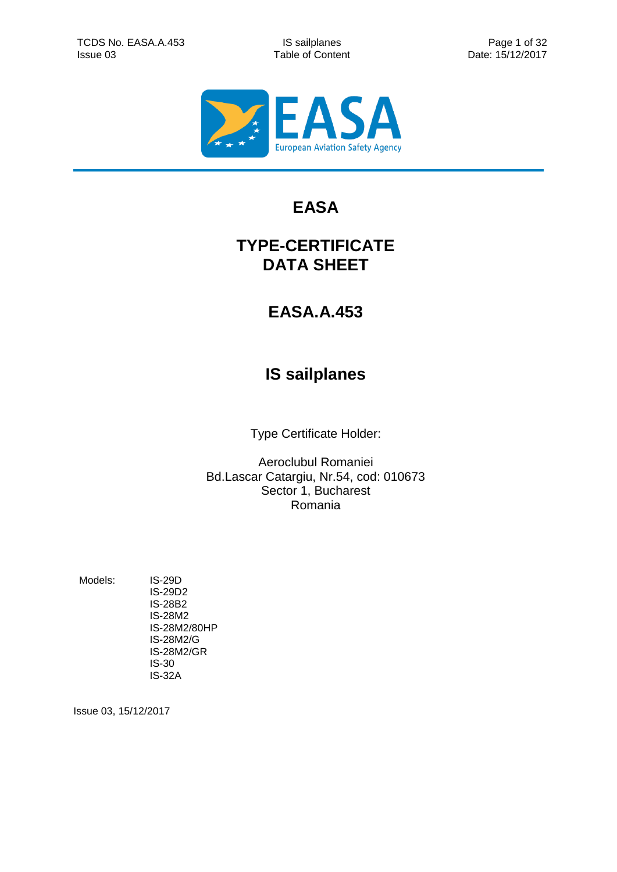

# **EASA**

## **TYPE-CERTIFICATE DATA SHEET**

# **EASA.A.453**

# **IS sailplanes**

Type Certificate Holder:

Aeroclubul Romaniei Bd.Lascar Catargiu, Nr.54, cod: 010673 Sector 1, Bucharest Romania

Models: IS-29D

<span id="page-0-2"></span><span id="page-0-1"></span><span id="page-0-0"></span>IS-29D2 IS-28B2 IS-28M2 IS-28M2/80HP IS-28M2/G IS-28M2/GR IS-30 IS-32A

Issue 03, 15/12/2017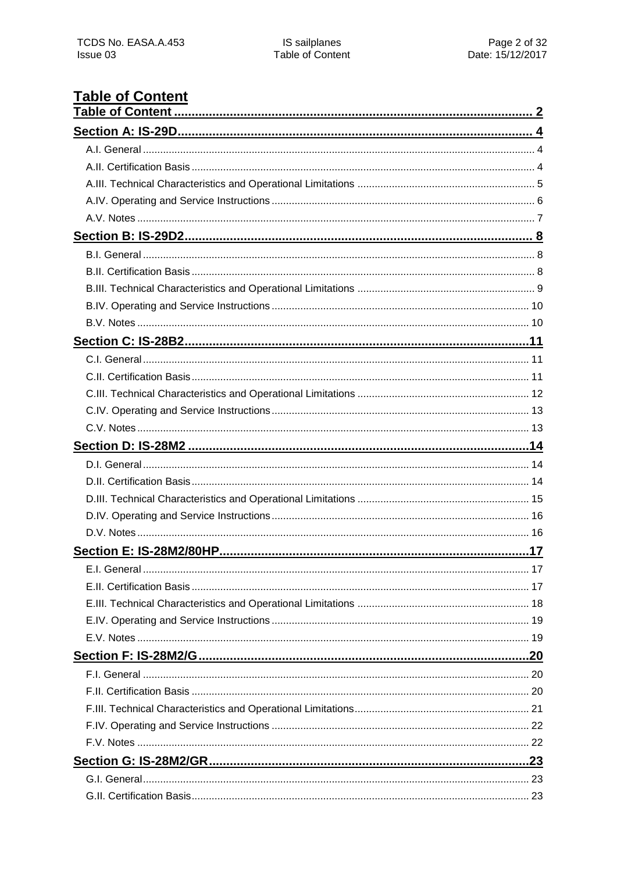# <span id="page-1-0"></span>**Table of Content**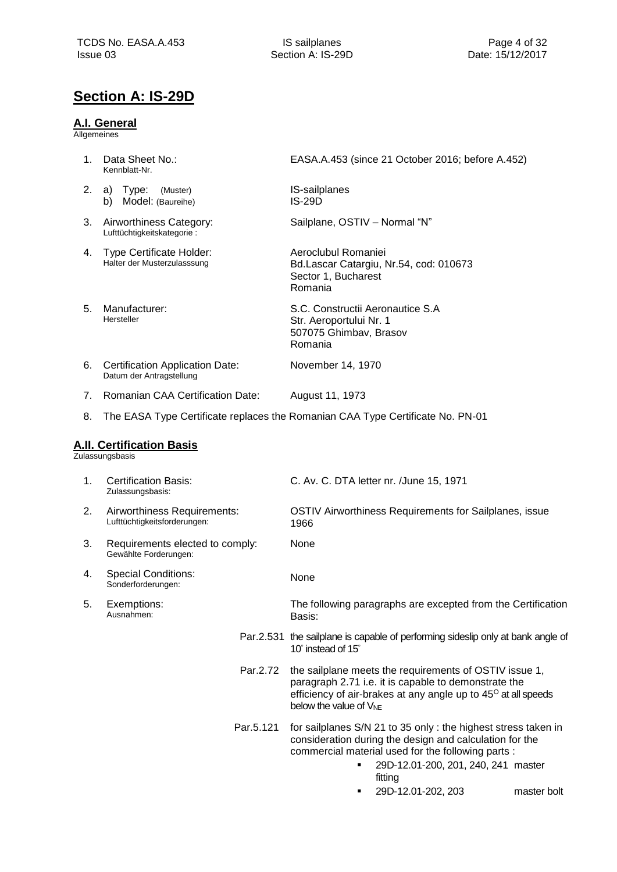## <span id="page-3-0"></span>**Section A: IS-29D**

### <span id="page-3-1"></span>**A.I. General**

Allgemeines

<span id="page-3-2"></span>

| 1. | Data Sheet No.:<br>Kennblatt-Nr.                                   | EASA.A.453 (since 21 October 2016; before A.452)                                                                                                                                                                                      |
|----|--------------------------------------------------------------------|---------------------------------------------------------------------------------------------------------------------------------------------------------------------------------------------------------------------------------------|
| 2. | a) Type:<br>(Muster)<br>b) Model: (Baureihe)                       | IS-sailplanes<br><b>IS-29D</b>                                                                                                                                                                                                        |
| 3. | Airworthiness Category:<br>Lufttüchtigkeitskategorie:              | Sailplane, OSTIV - Normal "N"                                                                                                                                                                                                         |
| 4. | <b>Type Certificate Holder:</b><br>Halter der Musterzulasssung     | Aeroclubul Romaniei<br>Bd.Lascar Catargiu, Nr.54, cod: 010673<br>Sector 1, Bucharest<br>Romania                                                                                                                                       |
| 5. | Manufacturer:<br>Hersteller                                        | S.C. Constructii Aeronautice S.A<br>Str. Aeroportului Nr. 1<br>507075 Ghimbav, Brasov<br>Romania                                                                                                                                      |
| 6. | <b>Certification Application Date:</b><br>Datum der Antragstellung | November 14, 1970                                                                                                                                                                                                                     |
| 7. | <b>Romanian CAA Certification Date:</b>                            | August 11, 1973                                                                                                                                                                                                                       |
| 8. |                                                                    | The EASA Type Certificate replaces the Romanian CAA Type Certificate No. PN-01                                                                                                                                                        |
|    | <b>A.II. Certification Basis</b><br>Zulassungsbasis                |                                                                                                                                                                                                                                       |
| 1. | <b>Certification Basis:</b><br>Zulassungsbasis:                    | C. Av. C. DTA letter nr. /June 15, 1971                                                                                                                                                                                               |
| 2. | Airworthiness Requirements:<br>Lufttüchtigkeitsforderungen:        | OSTIV Airworthiness Requirements for Sailplanes, issue<br>1966                                                                                                                                                                        |
| 3. | Requirements elected to comply:<br>Gewählte Forderungen:           | None                                                                                                                                                                                                                                  |
| 4. | <b>Special Conditions:</b><br>Sonderforderungen:                   | None                                                                                                                                                                                                                                  |
| 5. | Exemptions:<br>Ausnahmen:                                          | The following paragraphs are excepted from the Certification<br>Basis:                                                                                                                                                                |
|    |                                                                    | Par.2.531 the sailplane is capable of performing sideslip only at bank angle of<br>10° instead of 15°                                                                                                                                 |
|    | Par.2.72                                                           | the sailplane meets the requirements of OSTIV issue 1,<br>paragraph 2.71 i.e. it is capable to demonstrate the<br>efficiency of air-brakes at any angle up to 45° at all speeds<br>below the value of $V_{NE}$                        |
|    | Par.5.121                                                          | for sailplanes S/N 21 to 35 only: the highest stress taken in<br>consideration during the design and calculation for the<br>commercial material used for the following parts :<br>29D-12.01-200, 201, 240, 241 master<br>٠<br>fitting |

29D-12.01-202, 203 master bolt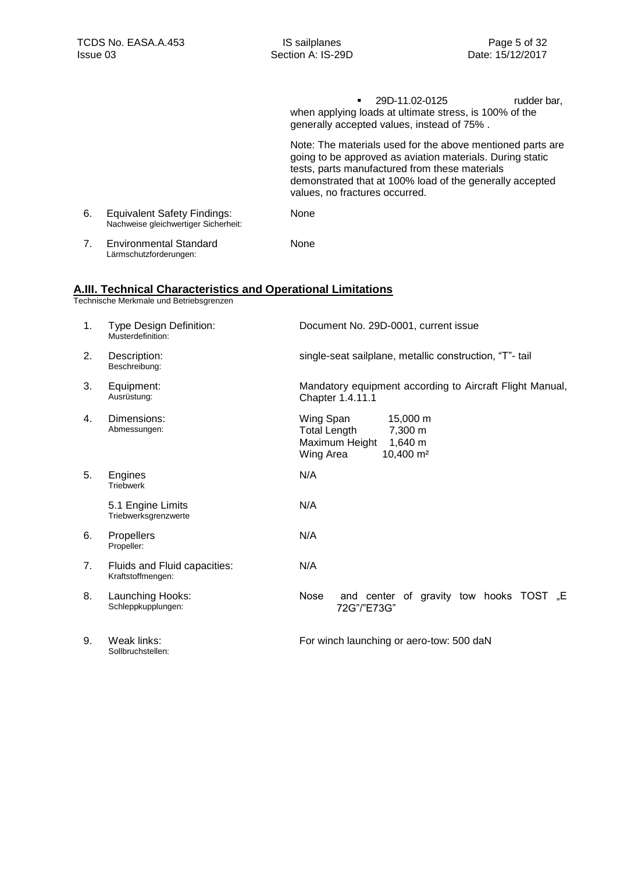29D-11.02-0125 rudder bar, when applying loads at ultimate stress, is 100% of the generally accepted values, instead of 75% . Note: The materials used for the above mentioned parts are going to be approved as aviation materials. During static tests, parts manufactured from these materials demonstrated that at 100% load of the generally accepted values, no fractures occurred. 6. Equivalent Safety Findings: Nachweise gleichwertiger Sicherheit: None 7. Environmental Standard Lärmschutzforderungen: None

### <span id="page-4-0"></span>**A.III. Technical Characteristics and Operational Limitations**

Technische Merkmale und Betriebsgrenzen

Sollbruchstellen:

| 1.             | Type Design Definition:<br>Musterdefinition:      | Document No. 29D-0001, current issue                                                                                       |
|----------------|---------------------------------------------------|----------------------------------------------------------------------------------------------------------------------------|
| 2.             | Description:<br>Beschreibung:                     | single-seat sailplane, metallic construction, "T"- tail                                                                    |
| 3.             | Equipment:<br>Ausrüstung:                         | Mandatory equipment according to Aircraft Flight Manual,<br>Chapter 1.4.11.1                                               |
| 4.             | Dimensions:<br>Abmessungen:                       | Wing Span<br>15,000 m<br><b>Total Length</b><br>7,300 m<br>Maximum Height<br>1,640 m<br>10,400 m <sup>2</sup><br>Wing Area |
| 5.             | Engines<br><b>Triebwerk</b>                       | N/A                                                                                                                        |
|                | 5.1 Engine Limits<br>Triebwerksgrenzwerte         | N/A                                                                                                                        |
| 6.             | Propellers<br>Propeller:                          | N/A                                                                                                                        |
| 7 <sub>1</sub> | Fluids and Fluid capacities:<br>Kraftstoffmengen: | N/A                                                                                                                        |
| 8.             | Launching Hooks:<br>Schleppkupplungen:            | and center of gravity tow hooks TOST "E<br>Nose<br>72G"/"E73G"                                                             |
| 9.             | Weak links:                                       | For winch launching or aero-tow: 500 daN                                                                                   |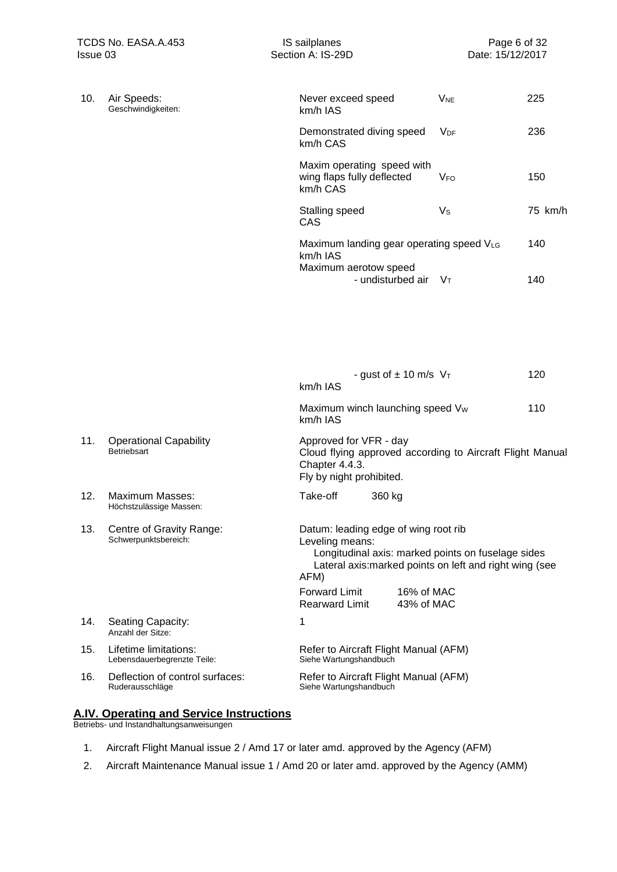| 10. | Air Speeds:<br>Geschwindigkeiten:                    | Never exceed speed<br>km/h IAS                                                                                                                                                   | <b>V<sub>NE</sub></b> | 225     |
|-----|------------------------------------------------------|----------------------------------------------------------------------------------------------------------------------------------------------------------------------------------|-----------------------|---------|
|     |                                                      | Demonstrated diving speed<br>km/h CAS                                                                                                                                            | <b>V<sub>DF</sub></b> | 236     |
|     |                                                      | Maxim operating speed with<br>wing flaps fully deflected<br>km/h CAS                                                                                                             | <b>V<sub>FO</sub></b> | 150     |
|     |                                                      | Stalling speed<br>CAS                                                                                                                                                            | $V_{\rm S}$           | 75 km/h |
|     |                                                      | Maximum landing gear operating speed VLG<br>km/h IAS<br>Maximum aerotow speed                                                                                                    |                       | 140     |
|     |                                                      | - undisturbed air                                                                                                                                                                | Vт                    | 140     |
|     |                                                      |                                                                                                                                                                                  |                       |         |
|     |                                                      | - gust of $\pm$ 10 m/s $V_T$                                                                                                                                                     |                       | 120     |
|     |                                                      | km/h IAS                                                                                                                                                                         |                       |         |
|     |                                                      | Maximum winch launching speed Vw<br>km/h IAS                                                                                                                                     |                       | 110     |
| 11. | <b>Operational Capability</b><br>Betriebsart         | Approved for VFR - day<br>Cloud flying approved according to Aircraft Flight Manual<br>Chapter 4.4.3.<br>Fly by night prohibited.                                                |                       |         |
| 12. | <b>Maximum Masses:</b><br>Höchstzulässige Massen:    | Take-off<br>360 kg                                                                                                                                                               |                       |         |
| 13. | Centre of Gravity Range:<br>Schwerpunktsbereich:     | Datum: leading edge of wing root rib<br>Leveling means:<br>Longitudinal axis: marked points on fuselage sides<br>Lateral axis: marked points on left and right wing (see<br>AFM) |                       |         |
|     |                                                      | <b>Forward Limit</b><br>16% of MAC<br>43% of MAC<br><b>Rearward Limit</b>                                                                                                        |                       |         |
| 14. | Seating Capacity:<br>Anzahl der Sitze:               | 1                                                                                                                                                                                |                       |         |
| 15. | Lifetime limitations:<br>Lebensdauerbegrenzte Teile: | Refer to Aircraft Flight Manual (AFM)<br>Siehe Wartungshandbuch                                                                                                                  |                       |         |
| 16. | Deflection of control surfaces:<br>Ruderausschläge   | Refer to Aircraft Flight Manual (AFM)<br>Siehe Wartungshandbuch                                                                                                                  |                       |         |

### <span id="page-5-0"></span>**A.IV. Operating and Service Instructions**

Betriebs- und Instandhaltungsanweisungen

- 1. Aircraft Flight Manual issue 2 / Amd 17 or later amd. approved by the Agency (AFM)
- 2. Aircraft Maintenance Manual issue 1 / Amd 20 or later amd. approved by the Agency (AMM)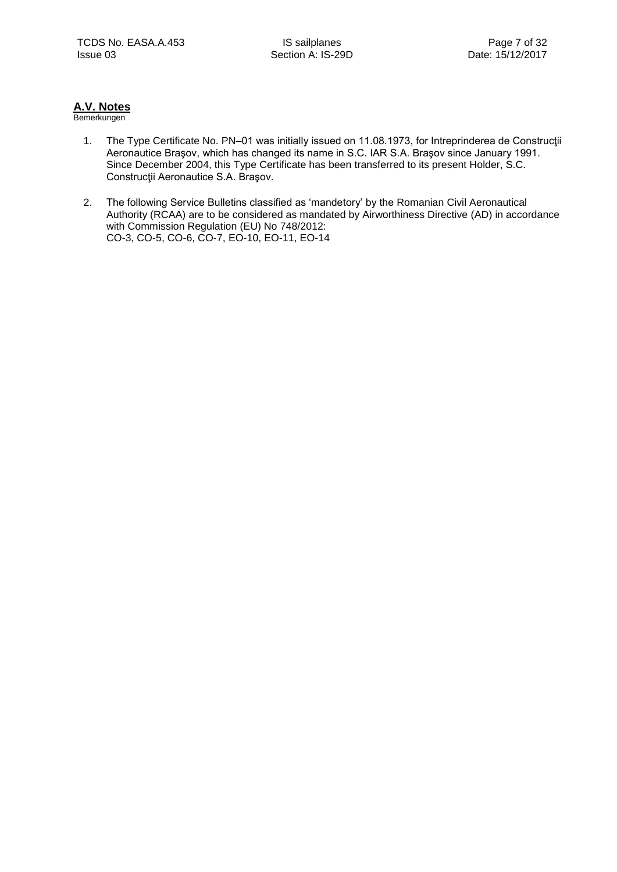### <span id="page-6-0"></span>**A.V. Notes**

- 1. The Type Certificate No. PN–01 was initially issued on 11.08.1973, for Intreprinderea de Construcţii Aeronautice Braşov, which has changed its name in S.C. IAR S.A. Braşov since January 1991. Since December 2004, this Type Certificate has been transferred to its present Holder, S.C. Construcţii Aeronautice S.A. Braşov.
- 2. The following Service Bulletins classified as 'mandetory' by the Romanian Civil Aeronautical Authority (RCAA) are to be considered as mandated by Airworthiness Directive (AD) in accordance with Commission Regulation (EU) No 748/2012: CO-3, CO-5, CO-6, CO-7, EO-10, EO-11, EO-14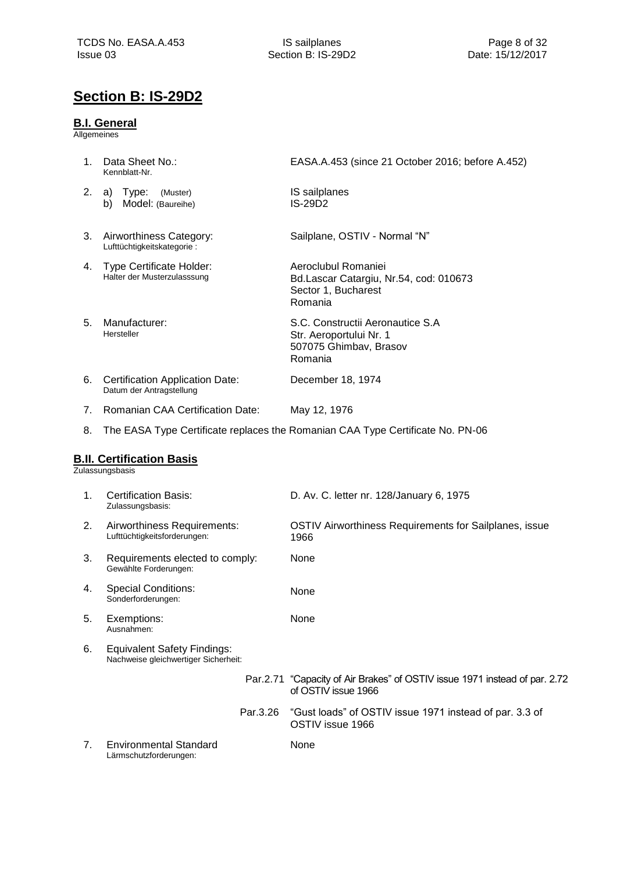## <span id="page-7-0"></span>**Section B: IS-29D2**

### <span id="page-7-1"></span>**B.I. General**

Allgemeines

<span id="page-7-2"></span>

| 1. | Data Sheet No.:<br>Kennblatt-Nr.                                           | EASA.A.453 (since 21 October 2016; before A.452)                                                  |
|----|----------------------------------------------------------------------------|---------------------------------------------------------------------------------------------------|
| 2. | Type:<br>a)<br>(Muster)<br>b) Model: (Baureihe)                            | IS sailplanes<br><b>IS-29D2</b>                                                                   |
| 3. | Airworthiness Category:<br>Lufttüchtigkeitskategorie:                      | Sailplane, OSTIV - Normal "N"                                                                     |
| 4. | Type Certificate Holder:<br>Halter der Musterzulasssung                    | Aeroclubul Romaniei<br>Bd.Lascar Catargiu, Nr.54, cod: 010673<br>Sector 1, Bucharest<br>Romania   |
| 5. | Manufacturer:<br>Hersteller                                                | S.C. Constructii Aeronautice S.A<br>Str. Aeroportului Nr. 1<br>507075 Ghimbav, Brasov<br>Romania  |
| 6. | <b>Certification Application Date:</b><br>Datum der Antragstellung         | December 18, 1974                                                                                 |
| 7. | <b>Romanian CAA Certification Date:</b>                                    | May 12, 1976                                                                                      |
| 8. |                                                                            | The EASA Type Certificate replaces the Romanian CAA Type Certificate No. PN-06                    |
|    | <b>B.II. Certification Basis</b><br>Zulassungsbasis                        |                                                                                                   |
| 1. | <b>Certification Basis:</b><br>Zulassungsbasis:                            | D. Av. C. letter nr. 128/January 6, 1975                                                          |
| 2. | Airworthiness Requirements:<br>Lufttüchtigkeitsforderungen:                | OSTIV Airworthiness Requirements for Sailplanes, issue<br>1966                                    |
| 3. | Requirements elected to comply:<br>Gewählte Forderungen:                   | None                                                                                              |
| 4. | <b>Special Conditions:</b><br>Sonderforderungen:                           | None                                                                                              |
| 5. | Exemptions:<br>Ausnahmen:                                                  | None                                                                                              |
| 6. | <b>Equivalent Safety Findings:</b><br>Nachweise gleichwertiger Sicherheit: |                                                                                                   |
|    |                                                                            | Par.2.71 "Capacity of Air Brakes" of OSTIV issue 1971 instead of par. 2.72<br>of OSTIV issue 1966 |
|    | Par.3.26                                                                   | "Gust loads" of OSTIV issue 1971 instead of par. 3.3 of<br>OSTIV issue 1966                       |
| 7. | <b>Environmental Standard</b><br>Lärmschutzforderungen:                    | None                                                                                              |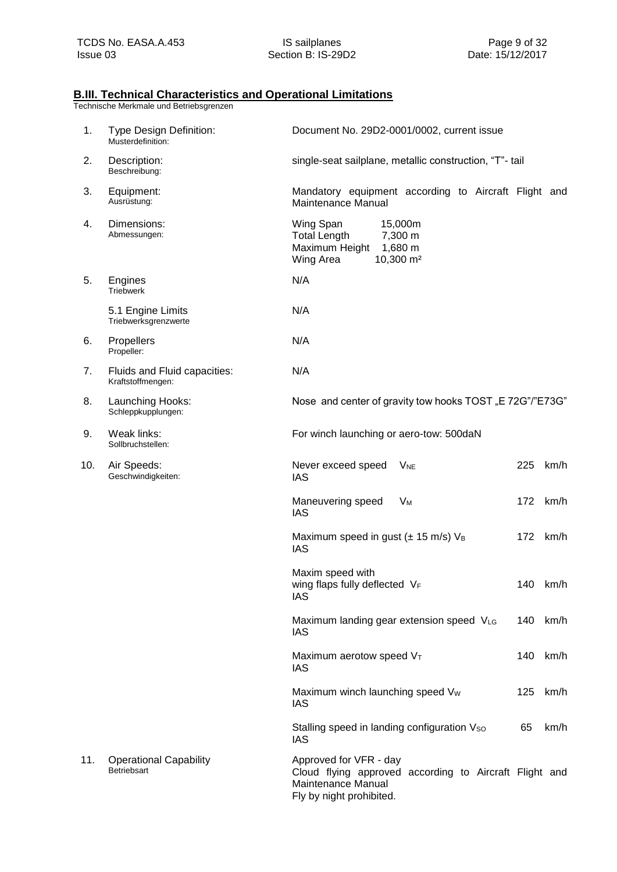### <span id="page-8-0"></span>**B.III. Technical Characteristics and Operational Limitations**

| 1.  | Type Design Definition:<br>Musterdefinition:        | Document No. 29D2-0001/0002, current issue                                                                                         |     |          |
|-----|-----------------------------------------------------|------------------------------------------------------------------------------------------------------------------------------------|-----|----------|
| 2.  | Description:<br>Beschreibung:                       | single-seat sailplane, metallic construction, "T"- tail                                                                            |     |          |
| 3.  | Equipment:<br>Ausrüstung:                           | Mandatory equipment according to Aircraft Flight and<br>Maintenance Manual                                                         |     |          |
| 4.  | Dimensions:<br>Abmessungen:                         | Wing Span<br>15,000m<br><b>Total Length</b><br>7,300 m<br>Maximum Height 1,680 m<br>10,300 m <sup>2</sup><br>Wing Area             |     |          |
| 5.  | Engines<br>Triebwerk                                | N/A                                                                                                                                |     |          |
|     | 5.1 Engine Limits<br>Triebwerksgrenzwerte           | N/A                                                                                                                                |     |          |
| 6.  | Propellers<br>Propeller:                            | N/A                                                                                                                                |     |          |
| 7.  | Fluids and Fluid capacities:<br>Kraftstoffmengen:   | N/A                                                                                                                                |     |          |
| 8.  | Launching Hooks:<br>Schleppkupplungen:              | Nose and center of gravity tow hooks TOST "E 72G"/"E73G"                                                                           |     |          |
| 9.  | Weak links:<br>Sollbruchstellen:                    | For winch launching or aero-tow: 500daN                                                                                            |     |          |
| 10. | Air Speeds:<br>Geschwindigkeiten:                   | Never exceed speed<br>$V_{NE}$<br><b>IAS</b>                                                                                       | 225 | km/h     |
|     |                                                     | Maneuvering speed<br>Vм<br><b>IAS</b>                                                                                              | 172 | km/h     |
|     |                                                     | Maximum speed in gust ( $\pm$ 15 m/s) $V_B$<br><b>IAS</b>                                                                          | 172 | km/h     |
|     |                                                     | Maxim speed with<br>wing flaps fully deflected VF<br>IAS                                                                           |     | 140 km/h |
|     |                                                     | Maximum landing gear extension speed VLG<br><b>IAS</b>                                                                             | 140 | km/h     |
|     |                                                     | Maximum aerotow speed VT<br><b>IAS</b>                                                                                             | 140 | km/h     |
|     |                                                     | Maximum winch launching speed V <sub>w</sub><br><b>IAS</b>                                                                         | 125 | km/h     |
|     |                                                     | Stalling speed in landing configuration Vso<br><b>IAS</b>                                                                          | 65  | km/h     |
| 11. | <b>Operational Capability</b><br><b>Betriebsart</b> | Approved for VFR - day<br>Cloud flying approved according to Aircraft Flight and<br>Maintenance Manual<br>Fly by night prohibited. |     |          |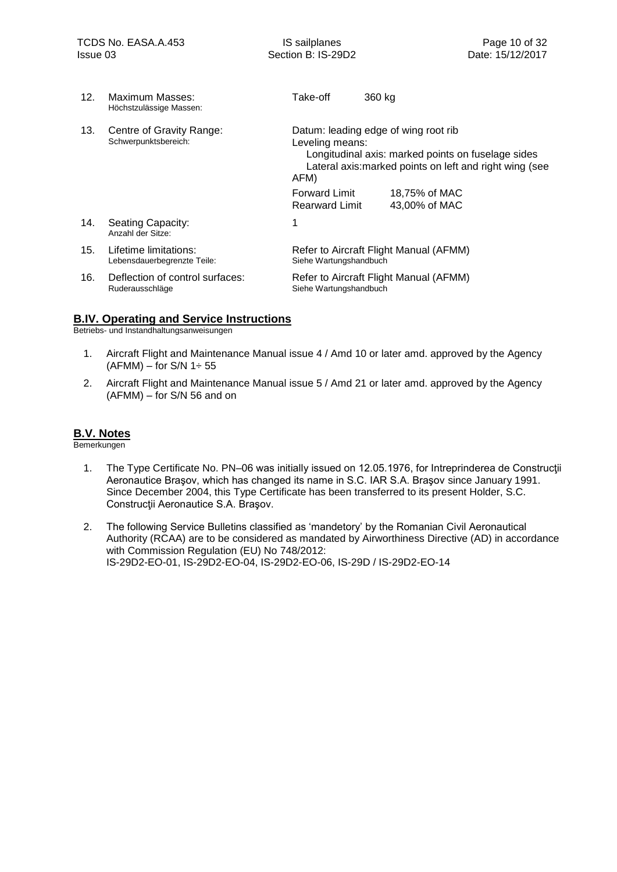| 12. | Maximum Masses:<br>Höchstzulässige Massen:           | Take-off                                      | 360 kg                                                                                                                                                |
|-----|------------------------------------------------------|-----------------------------------------------|-------------------------------------------------------------------------------------------------------------------------------------------------------|
| 13. | Centre of Gravity Range:<br>Schwerpunktsbereich:     | Leveling means:<br>AFM)                       | Datum: leading edge of wing root rib<br>Longitudinal axis: marked points on fuselage sides<br>Lateral axis: marked points on left and right wing (see |
|     |                                                      | <b>Forward Limit</b><br><b>Rearward Limit</b> | 18,75% of MAC<br>43.00% of MAC                                                                                                                        |
| 14. | Seating Capacity:<br>Anzahl der Sitze:               |                                               |                                                                                                                                                       |
| 15. | Lifetime limitations:<br>Lebensdauerbegrenzte Teile: | Siehe Wartungshandbuch                        | Refer to Aircraft Flight Manual (AFMM)                                                                                                                |
| 16. | Deflection of control surfaces:<br>Ruderausschläge   | Siehe Wartungshandbuch                        | Refer to Aircraft Flight Manual (AFMM)                                                                                                                |

### <span id="page-9-0"></span>**B.IV. Operating and Service Instructions**

Betriebs- und Instandhaltungsanweisungen

- 1. Aircraft Flight and Maintenance Manual issue 4 / Amd 10 or later amd. approved by the Agency  $(AFMM)$  – for S/N 1 $\div$  55
- 2. Aircraft Flight and Maintenance Manual issue 5 / Amd 21 or later amd. approved by the Agency (AFMM) – for S/N 56 and on

### <span id="page-9-1"></span>**B.V. Notes**

- 1. The Type Certificate No. PN–06 was initially issued on 12.05.1976, for Intreprinderea de Construcţii Aeronautice Braşov, which has changed its name in S.C. IAR S.A. Braşov since January 1991. Since December 2004, this Type Certificate has been transferred to its present Holder, S.C. Construcţii Aeronautice S.A. Braşov.
- 2. The following Service Bulletins classified as 'mandetory' by the Romanian Civil Aeronautical Authority (RCAA) are to be considered as mandated by Airworthiness Directive (AD) in accordance with Commission Regulation (EU) No 748/2012: IS-29D2-EO-01, IS-29D2-EO-04, IS-29D2-EO-06, IS-29D / IS-29D2-EO-14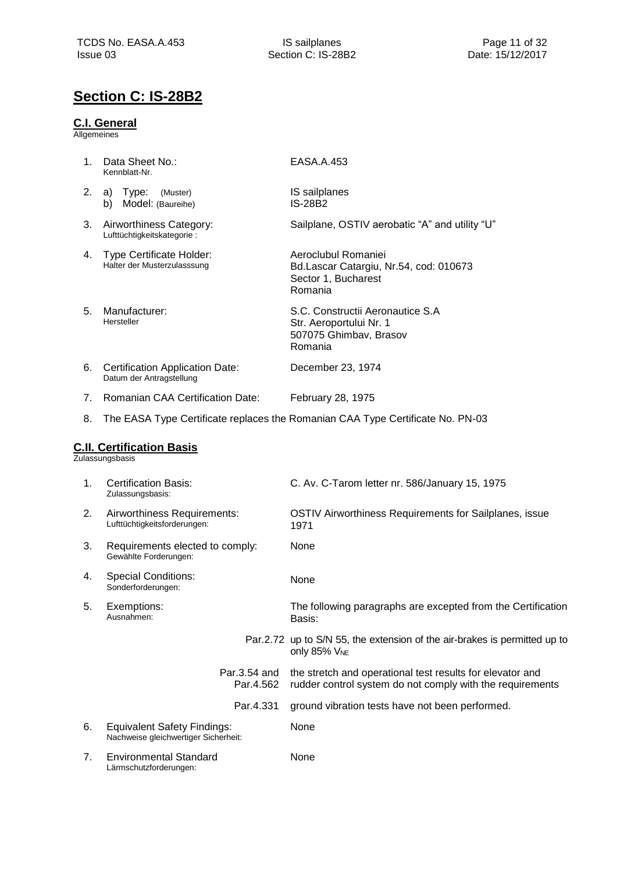## <span id="page-10-0"></span>**Section C: IS-28B2**

### <span id="page-10-1"></span>**C.I. General**

Allgemeines

<span id="page-10-3"></span><span id="page-10-2"></span>

| 1. | Data Sheet No.:<br>Kennblatt-Nr.                                           | EASA.A.453                                                                                                             |
|----|----------------------------------------------------------------------------|------------------------------------------------------------------------------------------------------------------------|
| 2. | a) Type:<br>(Muster)<br>Model: (Baureihe)<br>b)                            | IS sailplanes<br><b>IS-28B2</b>                                                                                        |
| 3. | Airworthiness Category:<br>Lufttüchtigkeitskategorie:                      | Sailplane, OSTIV aerobatic "A" and utility "U"                                                                         |
| 4. | <b>Type Certificate Holder:</b><br>Halter der Musterzulasssung             | Aeroclubul Romaniei<br>Bd.Lascar Catargiu, Nr.54, cod: 010673<br>Sector 1, Bucharest<br>Romania                        |
| 5. | Manufacturer:<br>Hersteller                                                | S.C. Constructii Aeronautice S.A<br>Str. Aeroportului Nr. 1<br>507075 Ghimbav, Brasov<br>Romania                       |
| 6. | <b>Certification Application Date:</b><br>Datum der Antragstellung         | December 23, 1974                                                                                                      |
| 7. | <b>Romanian CAA Certification Date:</b>                                    | February 28, 1975                                                                                                      |
| 8. |                                                                            | The EASA Type Certificate replaces the Romanian CAA Type Certificate No. PN-03                                         |
|    | <b>C.II. Certification Basis</b><br>Zulassungsbasis                        |                                                                                                                        |
| 1. | <b>Certification Basis:</b><br>Zulassungsbasis:                            | C. Av. C-Tarom letter nr. 586/January 15, 1975                                                                         |
| 2. | Airworthiness Requirements:<br>Lufttüchtigkeitsforderungen:                | OSTIV Airworthiness Requirements for Sailplanes, issue<br>1971                                                         |
| 3. | Requirements elected to comply:<br>Gewählte Forderungen:                   | None                                                                                                                   |
| 4. | <b>Special Conditions:</b><br>Sonderforderungen:                           | None                                                                                                                   |
| 5. | Exemptions:<br>Ausnanmen:                                                  | The following paragraphs are excepted from the Certification<br>Basis:                                                 |
|    |                                                                            | Par.2.72 up to S/N 55, the extension of the air-brakes is permitted up to<br>only 85% VNE                              |
|    | Par.3.54 and<br>Par.4.562                                                  | the stretch and operational test results for elevator and<br>rudder control system do not comply with the requirements |
|    | Par.4.331                                                                  | ground vibration tests have not been performed.                                                                        |
| 6. | <b>Equivalent Safety Findings:</b><br>Nachweise gleichwertiger Sicherheit: | None                                                                                                                   |
| 7. | <b>Environmental Standard</b><br>Lärmschutzforderungen:                    | None                                                                                                                   |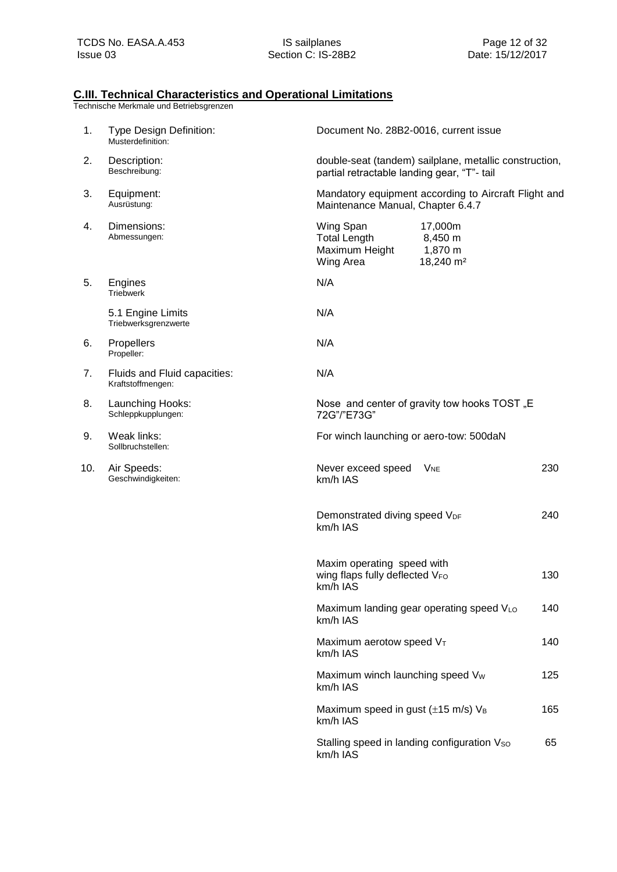### **C.III. Technical Characteristics and Operational Limitations**

| 1.  | Type Design Definition:<br>Musterdefinition:      | Document No. 28B2-0016, current issue                                                                                     |
|-----|---------------------------------------------------|---------------------------------------------------------------------------------------------------------------------------|
| 2.  | Description:<br>Beschreibung:                     | double-seat (tandem) sailplane, metallic construction,<br>partial retractable landing gear, "T"- tail                     |
| 3.  | Equipment:<br>Ausrüstung:                         | Mandatory equipment according to Aircraft Flight and<br>Maintenance Manual, Chapter 6.4.7                                 |
| 4.  | Dimensions:<br>Abmessungen:                       | Wing Span<br>17,000m<br><b>Total Length</b><br>8,450 m<br>1,870 m<br>Maximum Height<br>18,240 m <sup>2</sup><br>Wing Area |
| 5.  | Engines<br>Triebwerk                              | N/A                                                                                                                       |
|     | 5.1 Engine Limits<br>Triebwerksgrenzwerte         | N/A                                                                                                                       |
| 6.  | Propellers<br>Propeller:                          | N/A                                                                                                                       |
| 7.  | Fluids and Fluid capacities:<br>Kraftstoffmengen: | N/A                                                                                                                       |
| 8.  | Launching Hooks:<br>Schleppkupplungen:            | Nose and center of gravity tow hooks TOST "E<br>72G"/"E73G"                                                               |
| 9.  | Weak links:<br>Sollbruchstellen:                  | For winch launching or aero-tow: 500daN                                                                                   |
| 10. | Air Speeds:<br>Geschwindigkeiten:                 | 230<br>Never exceed speed<br>$V_{NE}$<br>km/h IAS                                                                         |
|     |                                                   | 240<br>Demonstrated diving speed VDF<br>km/h IAS                                                                          |
|     |                                                   | Maxim operating speed with<br>wing flaps fully deflected VFO<br>130<br>km/h IAS                                           |
|     |                                                   | Maximum landing gear operating speed VLO<br>140<br>km/h IAS                                                               |
|     |                                                   | 140<br>Maximum aerotow speed $V_T$<br>km/h IAS                                                                            |
|     |                                                   | Maximum winch launching speed Vw<br>125<br>km/h IAS                                                                       |
|     |                                                   | Maximum speed in gust $(\pm 15 \text{ m/s})$ V <sub>B</sub><br>165<br>km/h IAS                                            |
|     |                                                   | Stalling speed in landing configuration Vso<br>65<br>km/h IAS                                                             |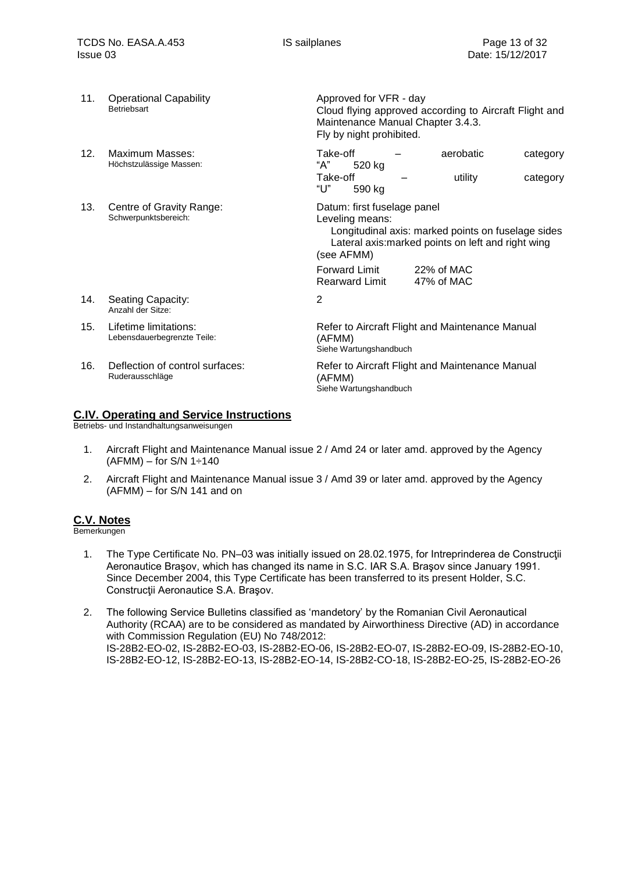| 11. | <b>Operational Capability</b><br>Betriebsart         | Approved for VFR - day<br>Cloud flying approved according to Aircraft Flight and<br>Maintenance Manual Chapter 3.4.3.<br>Fly by night prohibited.                        |
|-----|------------------------------------------------------|--------------------------------------------------------------------------------------------------------------------------------------------------------------------------|
| 12. | Maximum Masses:<br>Höchstzulässige Massen:           | Take-off<br>aerobatic<br>category<br>"А"<br>520 kg<br>Take-off<br>utility<br>category<br>"ሀ"<br>590 kg                                                                   |
| 13. | Centre of Gravity Range:<br>Schwerpunktsbereich:     | Datum: first fuselage panel<br>Leveling means:<br>Longitudinal axis: marked points on fuselage sides<br>Lateral axis: marked points on left and right wing<br>(see AFMM) |
|     |                                                      | Forward Limit<br>22% of MAC<br>47% of MAC<br><b>Rearward Limit</b>                                                                                                       |
| 14. | Seating Capacity:<br>Anzahl der Sitze:               | 2                                                                                                                                                                        |
| 15. | Lifetime limitations:<br>Lebensdauerbegrenzte Teile: | Refer to Aircraft Flight and Maintenance Manual<br>(AFMM)<br>Siehe Wartungshandbuch                                                                                      |
| 16. | Deflection of control surfaces:<br>Ruderausschläge   | Refer to Aircraft Flight and Maintenance Manual<br>(AFMM)<br>Siehe Wartungshandbuch                                                                                      |

### <span id="page-12-0"></span>**C.IV. Operating and Service Instructions**

Betriebs- und Instandhaltungsanweisungen

- 1. Aircraft Flight and Maintenance Manual issue 2 / Amd 24 or later amd. approved by the Agency  $(AFMM)$  – for S/N 1 $\div$ 140
- 2. Aircraft Flight and Maintenance Manual issue 3 / Amd 39 or later amd. approved by the Agency (AFMM) – for S/N 141 and on

### <span id="page-12-1"></span>**C.V. Notes**

- 1. The Type Certificate No. PN–03 was initially issued on 28.02.1975, for Intreprinderea de Construcţii Aeronautice Braşov, which has changed its name in S.C. IAR S.A. Braşov since January 1991. Since December 2004, this Type Certificate has been transferred to its present Holder, S.C. Construcţii Aeronautice S.A. Braşov.
- 2. The following Service Bulletins classified as 'mandetory' by the Romanian Civil Aeronautical Authority (RCAA) are to be considered as mandated by Airworthiness Directive (AD) in accordance with Commission Regulation (EU) No 748/2012: IS-28B2-EO-02, IS-28B2-EO-03, IS-28B2-EO-06, IS-28B2-EO-07, IS-28B2-EO-09, IS-28B2-EO-10, IS-28B2-EO-12, IS-28B2-EO-13, IS-28B2-EO-14, IS-28B2-CO-18, IS-28B2-EO-25, IS-28B2-EO-26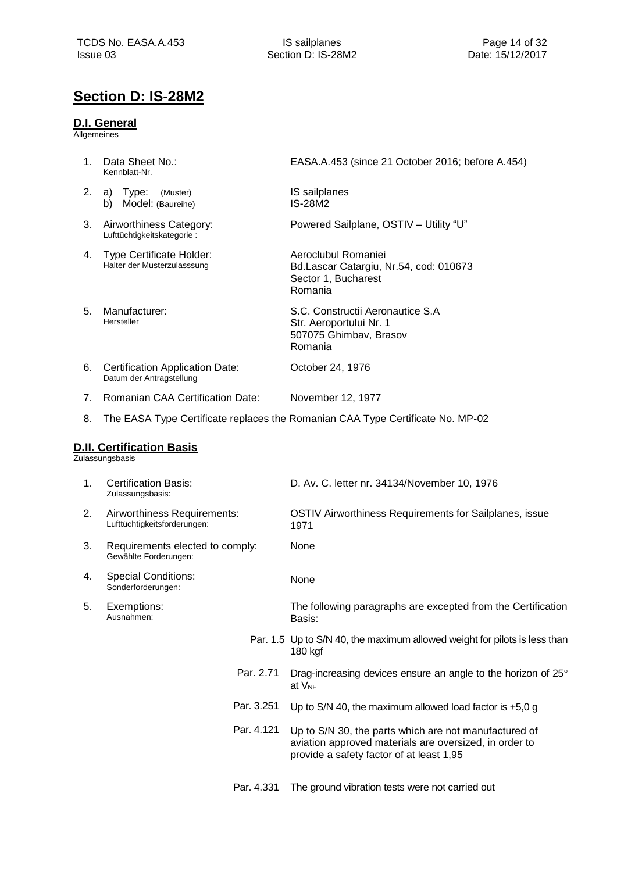## <span id="page-13-0"></span>**Section D: IS-28M2**

### <span id="page-13-1"></span>**D.I. General**

Allgemeines

<span id="page-13-2"></span>

| 1. | Data Sheet No.:<br>Kennblatt-Nr.                                   | EASA.A.453 (since 21 October 2016; before A.454)                                                                                                            |
|----|--------------------------------------------------------------------|-------------------------------------------------------------------------------------------------------------------------------------------------------------|
| 2. | a) Type:<br>(Muster)<br>Model: (Baureihe)<br>b)                    | IS sailplanes<br><b>IS-28M2</b>                                                                                                                             |
| 3. | Airworthiness Category:<br>Lufttüchtigkeitskategorie:              | Powered Sailplane, OSTIV - Utility "U"                                                                                                                      |
| 4. | <b>Type Certificate Holder:</b><br>Halter der Musterzulasssung     | Aeroclubul Romaniei<br>Bd.Lascar Catargiu, Nr.54, cod: 010673<br>Sector 1, Bucharest<br>Romania                                                             |
| 5. | Manufacturer:<br>Hersteller                                        | S.C. Constructii Aeronautice S.A<br>Str. Aeroportului Nr. 1<br>507075 Ghimbav, Brasov<br>Romania                                                            |
| 6. | <b>Certification Application Date:</b><br>Datum der Antragstellung | October 24, 1976                                                                                                                                            |
| 7. | Romanian CAA Certification Date:                                   | November 12, 1977                                                                                                                                           |
| 8. |                                                                    | The EASA Type Certificate replaces the Romanian CAA Type Certificate No. MP-02                                                                              |
|    | <b>D.II. Certification Basis</b><br>Zulassungsbasis                |                                                                                                                                                             |
| 1. | <b>Certification Basis:</b><br>Zulassungsbasis:                    | D. Av. C. letter nr. 34134/November 10, 1976                                                                                                                |
| 2. | Airworthiness Requirements:<br>Lufttüchtigkeitsforderungen:        | OSTIV Airworthiness Requirements for Sailplanes, issue<br>1971                                                                                              |
| 3. | Requirements elected to comply:<br>Gewählte Forderungen:           | None                                                                                                                                                        |
| 4. | <b>Special Conditions:</b><br>Sonderforderungen:                   | None                                                                                                                                                        |
| 5. | Exemptions:<br>Ausnahmen:                                          | The following paragraphs are excepted from the Certification<br>Basis:                                                                                      |
|    |                                                                    | Par. 1.5 Up to S/N 40, the maximum allowed weight for pilots is less than<br>180 kgf                                                                        |
|    | Par. 2.71                                                          | Drag-increasing devices ensure an angle to the horizon of 25°<br>at V <sub>NE</sub>                                                                         |
|    | Par. 3.251                                                         | Up to S/N 40, the maximum allowed load factor is $+5.0 g$                                                                                                   |
|    | Par. 4.121                                                         | Up to S/N 30, the parts which are not manufactured of<br>aviation approved materials are oversized, in order to<br>provide a safety factor of at least 1,95 |
|    | Par. 4.331                                                         | The ground vibration tests were not carried out                                                                                                             |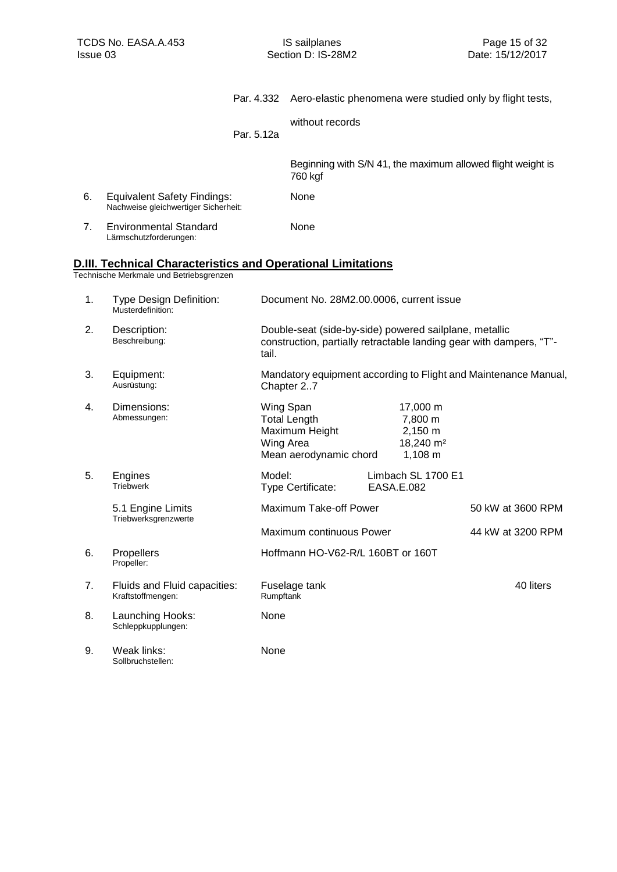<span id="page-14-0"></span>

|    |                                                                                                                       |            |                                                                                           |                                                                              | Par. 4.332 Aero-elastic phenomena were studied only by flight tests, |
|----|-----------------------------------------------------------------------------------------------------------------------|------------|-------------------------------------------------------------------------------------------|------------------------------------------------------------------------------|----------------------------------------------------------------------|
|    |                                                                                                                       | Par. 5.12a | without records                                                                           |                                                                              |                                                                      |
|    |                                                                                                                       |            | 760 kgf                                                                                   |                                                                              | Beginning with S/N 41, the maximum allowed flight weight is          |
| 6. | <b>Equivalent Safety Findings:</b><br>Nachweise gleichwertiger Sicherheit:                                            |            | None                                                                                      |                                                                              |                                                                      |
| 7. | <b>Environmental Standard</b><br>Lärmschutzforderungen:                                                               |            | None                                                                                      |                                                                              |                                                                      |
|    | <u><b>D.III. Technical Characteristics and Operational Limitations</b></u><br>Technische Merkmale und Betriebsgrenzen |            |                                                                                           |                                                                              |                                                                      |
| 1. | <b>Type Design Definition:</b><br>Musterdefinition:                                                                   |            | Document No. 28M2.00.0006, current issue                                                  |                                                                              |                                                                      |
| 2. | Description:<br>Beschreibung:                                                                                         | tail.      | Double-seat (side-by-side) powered sailplane, metallic                                    |                                                                              | construction, partially retractable landing gear with dampers, "T"-  |
| 3. | Equipment:<br>Ausrüstung:                                                                                             |            | Chapter 27                                                                                |                                                                              | Mandatory equipment according to Flight and Maintenance Manual,      |
| 4. | Dimensions:<br>Abmessungen:                                                                                           |            | Wing Span<br><b>Total Length</b><br>Maximum Height<br>Wing Area<br>Mean aerodynamic chord | 17,000 m<br>7,800 m<br>$2,150 \; m$<br>18,240 m <sup>2</sup><br>$1,108 \; m$ |                                                                      |
| 5. | Engines<br><b>Triebwerk</b>                                                                                           | Model:     | Type Certificate:                                                                         | Limbach SL 1700 E1<br><b>EASA.E.082</b>                                      |                                                                      |
|    | 5.1 Engine Limits<br>Triebwerksgrenzwerte                                                                             |            | Maximum Take-off Power                                                                    |                                                                              | 50 kW at 3600 RPM                                                    |
|    |                                                                                                                       |            | Maximum continuous Power                                                                  |                                                                              | 44 kW at 3200 RPM                                                    |
| 6. | Propellers<br>Propeller:                                                                                              |            | Hoffmann HO-V62-R/L 160BT or 160T                                                         |                                                                              |                                                                      |
| 7. | Fluids and Fluid capacities:<br>Kraftstoffmengen:                                                                     | Rumpftank  | Fuselage tank                                                                             |                                                                              | 40 liters                                                            |
| 8. | Launching Hooks:<br>Schleppkupplungen:                                                                                | None       |                                                                                           |                                                                              |                                                                      |
| 9. | Weak links:<br>Sollbruchstellen:                                                                                      | None       |                                                                                           |                                                                              |                                                                      |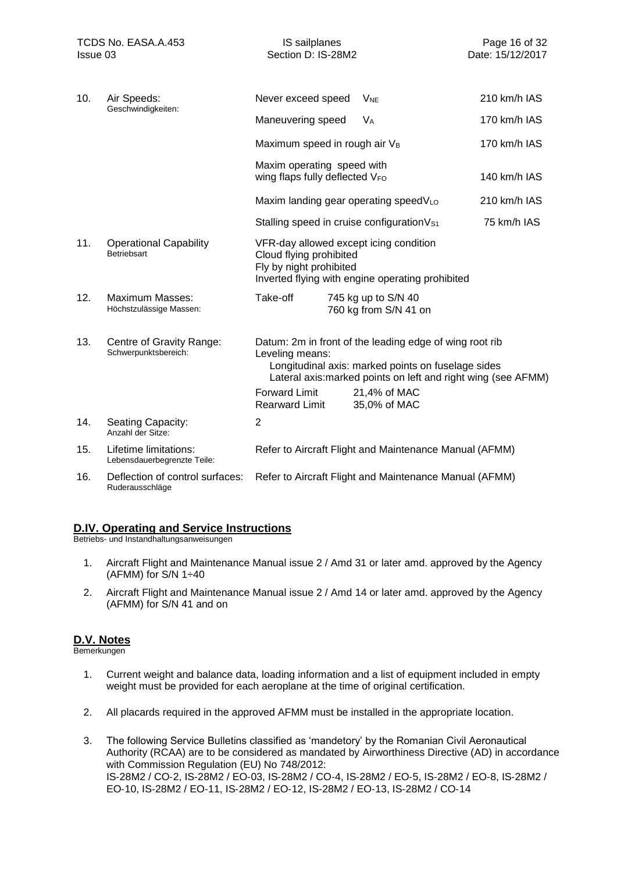| 10. | Air Speeds:                                          | Never exceed speed                                           | <b>V<sub>NE</sub></b>                                                                                                                                                          | 210 km/h IAS |
|-----|------------------------------------------------------|--------------------------------------------------------------|--------------------------------------------------------------------------------------------------------------------------------------------------------------------------------|--------------|
|     | Geschwindigkeiten:                                   | Maneuvering speed                                            | $V_A$                                                                                                                                                                          | 170 km/h IAS |
|     |                                                      | Maximum speed in rough air V <sub>B</sub>                    |                                                                                                                                                                                | 170 km/h IAS |
|     |                                                      | Maxim operating speed with<br>wing flaps fully deflected VFO |                                                                                                                                                                                | 140 km/h IAS |
|     |                                                      |                                                              | Maxim landing gear operating speedVLo                                                                                                                                          | 210 km/h IAS |
|     |                                                      |                                                              | Stalling speed in cruise configuration V <sub>S1</sub>                                                                                                                         | 75 km/h IAS  |
| 11. | <b>Operational Capability</b><br><b>Betriebsart</b>  | Cloud flying prohibited<br>Fly by night prohibited           | VFR-day allowed except icing condition<br>Inverted flying with engine operating prohibited                                                                                     |              |
| 12. | Maximum Masses:<br>Höchstzulässige Massen:           | Take-off                                                     | 745 kg up to S/N 40<br>760 kg from S/N 41 on                                                                                                                                   |              |
| 13. | Centre of Gravity Range:<br>Schwerpunktsbereich:     | Leveling means:                                              | Datum: 2m in front of the leading edge of wing root rib<br>Longitudinal axis: marked points on fuselage sides<br>Lateral axis: marked points on left and right wing (see AFMM) |              |
|     |                                                      | <b>Forward Limit</b><br><b>Rearward Limit</b>                | 21,4% of MAC<br>35,0% of MAC                                                                                                                                                   |              |
| 14. | Seating Capacity:<br>Anzahl der Sitze:               | $\overline{2}$                                               |                                                                                                                                                                                |              |
| 15. | Lifetime limitations:<br>Lebensdauerbegrenzte Teile: |                                                              | Refer to Aircraft Flight and Maintenance Manual (AFMM)                                                                                                                         |              |
| 16. | Deflection of control surfaces:<br>Ruderausschläge   |                                                              | Refer to Aircraft Flight and Maintenance Manual (AFMM)                                                                                                                         |              |

### <span id="page-15-0"></span>**D.IV. Operating and Service Instructions**

Betriebs- und Instandhaltungsanweisungen

- 1. Aircraft Flight and Maintenance Manual issue 2 / Amd 31 or later amd. approved by the Agency (AFMM) for  $S/N$  1 $\div$ 40
- 2. Aircraft Flight and Maintenance Manual issue 2 / Amd 14 or later amd. approved by the Agency (AFMM) for S/N 41 and on

### <span id="page-15-1"></span>**D.V. Notes**

- 1. Current weight and balance data, loading information and a list of equipment included in empty weight must be provided for each aeroplane at the time of original certification.
- 2. All placards required in the approved AFMM must be installed in the appropriate location.
- 3. The following Service Bulletins classified as 'mandetory' by the Romanian Civil Aeronautical Authority (RCAA) are to be considered as mandated by Airworthiness Directive (AD) in accordance with Commission Regulation (EU) No 748/2012: IS‐28M2 / CO‐2, IS‐28M2 / EO‐03, IS‐28M2 / CO‐4, IS‐28M2 / EO‐5, IS‐28M2 / EO‐8, IS‐28M2 / EO‐10, IS‐28M2 / EO‐11, IS‐28M2 / EO‐12, IS‐28M2 / EO‐13, IS‐28M2 / CO‐14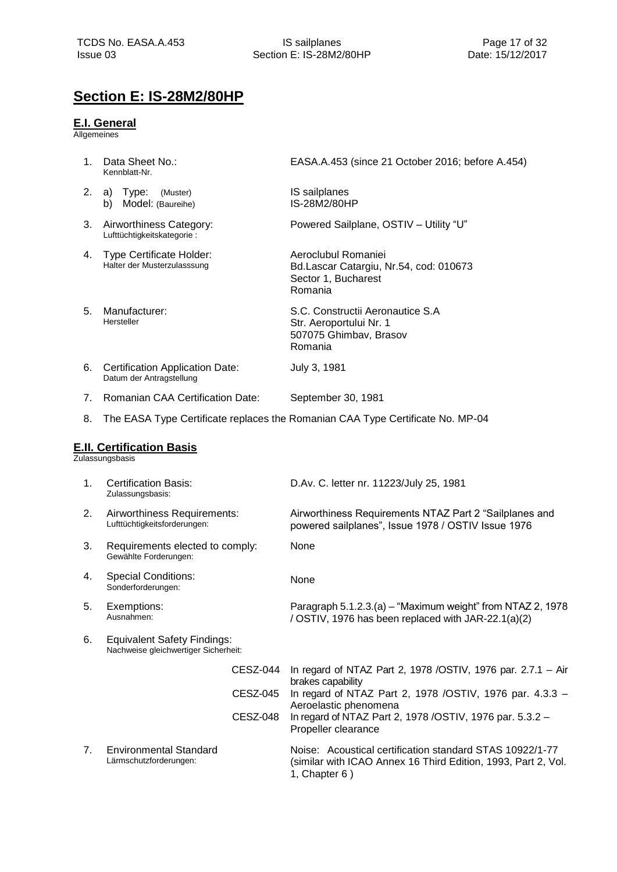# <span id="page-16-0"></span>**Section E: IS-28M2/80HP**

### <span id="page-16-1"></span>**E.I. General**

Allgemeines

<span id="page-16-2"></span>

| 1. | Data Sheet No.:<br>Kennblatt-Nr.                                           | EASA.A.453 (since 21 October 2016; before A.454)                                                                                           |
|----|----------------------------------------------------------------------------|--------------------------------------------------------------------------------------------------------------------------------------------|
| 2. | a) Type:<br>(Muster)<br>b) Model: (Baureihe)                               | IS sailplanes<br>IS-28M2/80HP                                                                                                              |
| 3. | Airworthiness Category:<br>Lufttüchtigkeitskategorie:                      | Powered Sailplane, OSTIV - Utility "U"                                                                                                     |
| 4. | <b>Type Certificate Holder:</b><br>Halter der Musterzulasssung             | Aeroclubul Romaniei<br>Bd.Lascar Catargiu, Nr.54, cod: 010673<br>Sector 1, Bucharest<br>Romania                                            |
| 5. | Manufacturer:<br>Hersteller                                                | S.C. Constructii Aeronautice S.A<br>Str. Aeroportului Nr. 1<br>507075 Ghimbav, Brasov<br>Romania                                           |
| 6. | <b>Certification Application Date:</b><br>Datum der Antragstellung         | July 3, 1981                                                                                                                               |
| 7. | <b>Romanian CAA Certification Date:</b>                                    | September 30, 1981                                                                                                                         |
| 8. |                                                                            | The EASA Type Certificate replaces the Romanian CAA Type Certificate No. MP-04                                                             |
|    | <b>E.II. Certification Basis</b><br>Zulassungsbasis                        |                                                                                                                                            |
| 1. | <b>Certification Basis:</b><br>Zulassungsbasis:                            | D.Av. C. letter nr. 11223/July 25, 1981                                                                                                    |
| 2. | Airworthiness Requirements:<br>Lufttüchtigkeitsforderungen:                | Airworthiness Requirements NTAZ Part 2 "Sailplanes and<br>powered sailplanes", Issue 1978 / OSTIV Issue 1976                               |
| 3. | Requirements elected to comply:<br>Gewählte Forderungen:                   | None                                                                                                                                       |
| 4. | <b>Special Conditions:</b><br>Sonderforderungen:                           | None                                                                                                                                       |
| 5. | Exemptions:<br>Ausnahmen:                                                  | Paragraph 5.1.2.3.(a) - "Maximum weight" from NTAZ 2, 1978<br>/ OSTIV, 1976 has been replaced with JAR-22.1(a)(2)                          |
| 6. | <b>Equivalent Safety Findings:</b><br>Nachweise gleichwertiger Sicherheit: |                                                                                                                                            |
|    | CESZ-044                                                                   | In regard of NTAZ Part 2, 1978 / OSTIV, 1976 par. 2.7.1 - Air                                                                              |
|    | <b>CESZ-045</b>                                                            | brakes capability<br>In regard of NTAZ Part 2, 1978 /OSTIV, 1976 par. 4.3.3 -<br>Aeroelastic phenomena                                     |
|    | <b>CESZ-048</b>                                                            | In regard of NTAZ Part 2, 1978 / OSTIV, 1976 par. 5.3.2 -<br>Propeller clearance                                                           |
| 7. | <b>Environmental Standard</b><br>Lärmschutzforderungen:                    | Noise: Acoustical certification standard STAS 10922/1-77<br>(similar with ICAO Annex 16 Third Edition, 1993, Part 2, Vol.<br>1, Chapter 6) |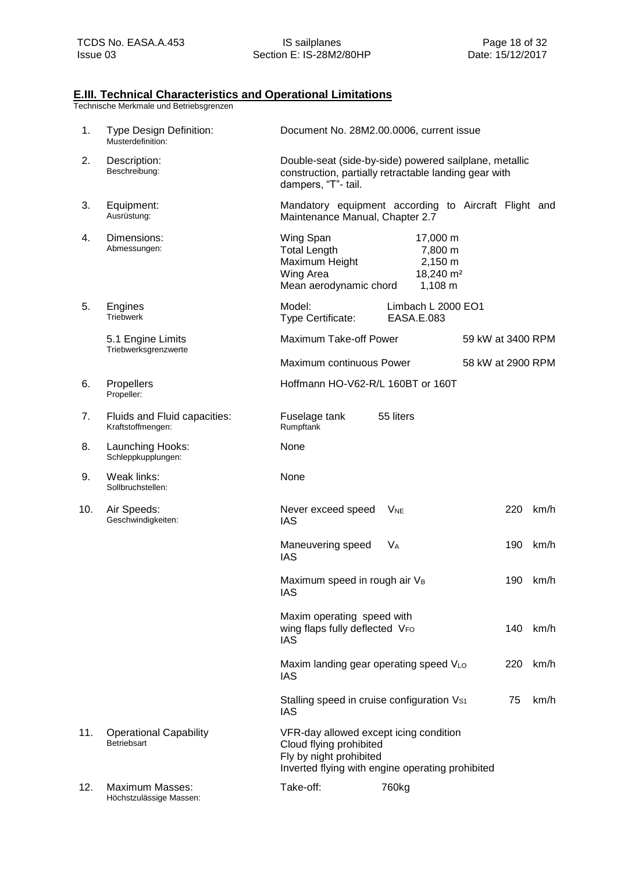### <span id="page-17-0"></span>**E.III. Technical Characteristics and Operational Limitations**

| 1.  | Type Design Definition:<br>Musterdefinition:      | Document No. 28M2.00.0006, current issue                                                                                                                             |  |  |  |  |
|-----|---------------------------------------------------|----------------------------------------------------------------------------------------------------------------------------------------------------------------------|--|--|--|--|
| 2.  | Description:<br>Beschreibung:                     | Double-seat (side-by-side) powered sailplane, metallic<br>construction, partially retractable landing gear with<br>dampers, "T"- tail.                               |  |  |  |  |
| 3.  | Equipment:<br>Ausrüstung:                         | Mandatory equipment according to Aircraft Flight and<br>Maintenance Manual, Chapter 2.7                                                                              |  |  |  |  |
| 4.  | Dimensions:<br>Abmessungen:                       | Wing Span<br>17,000 m<br><b>Total Length</b><br>7,800 m<br>Maximum Height<br>2,150 m<br>18,240 m <sup>2</sup><br>Wing Area<br>Mean aerodynamic chord<br>$1,108 \; m$ |  |  |  |  |
| 5.  | Engines<br><b>Triebwerk</b>                       | Model:<br>Limbach L 2000 EO1<br>Type Certificate:<br>EASA.E.083                                                                                                      |  |  |  |  |
|     | 5.1 Engine Limits<br>Triebwerksgrenzwerte         | Maximum Take-off Power<br>59 kW at 3400 RPM                                                                                                                          |  |  |  |  |
|     |                                                   | Maximum continuous Power<br>58 kW at 2900 RPM                                                                                                                        |  |  |  |  |
| 6.  | Propellers<br>Propeller:                          | Hoffmann HO-V62-R/L 160BT or 160T                                                                                                                                    |  |  |  |  |
| 7.  | Fluids and Fluid capacities:<br>Kraftstoffmengen: | Fuselage tank<br>55 liters<br>Rumpftank                                                                                                                              |  |  |  |  |
| 8.  | Launching Hooks:<br>Schleppkupplungen:            | None                                                                                                                                                                 |  |  |  |  |
| 9.  | Weak links:<br>Sollbruchstellen:                  | None                                                                                                                                                                 |  |  |  |  |
| 10. | Air Speeds:<br>Geschwindigkeiten:                 | 220<br>Never exceed speed<br>km/h<br><b>V<sub>NE</sub></b><br><b>IAS</b>                                                                                             |  |  |  |  |
|     |                                                   | Maneuvering speed<br><b>V<sub>A</sub></b><br>190<br>km/h<br><b>IAS</b>                                                                                               |  |  |  |  |
|     |                                                   | Maximum speed in rough air VB<br>190<br>km/h<br><b>IAS</b>                                                                                                           |  |  |  |  |
|     |                                                   | Maxim operating speed with<br>wing flaps fully deflected VFO<br>140<br>km/h<br><b>IAS</b>                                                                            |  |  |  |  |
|     |                                                   | Maxim landing gear operating speed VLO<br>220<br>km/h<br><b>IAS</b>                                                                                                  |  |  |  |  |
|     |                                                   | Stalling speed in cruise configuration Vs1<br>75<br>km/h<br>IAS                                                                                                      |  |  |  |  |
| 11. | <b>Operational Capability</b><br>Betriebsart      | VFR-day allowed except icing condition<br>Cloud flying prohibited<br>Fly by night prohibited<br>Inverted flying with engine operating prohibited                     |  |  |  |  |
| 12. | <b>Maximum Masses:</b><br>Höchstzulässige Massen: | Take-off:<br>760kg                                                                                                                                                   |  |  |  |  |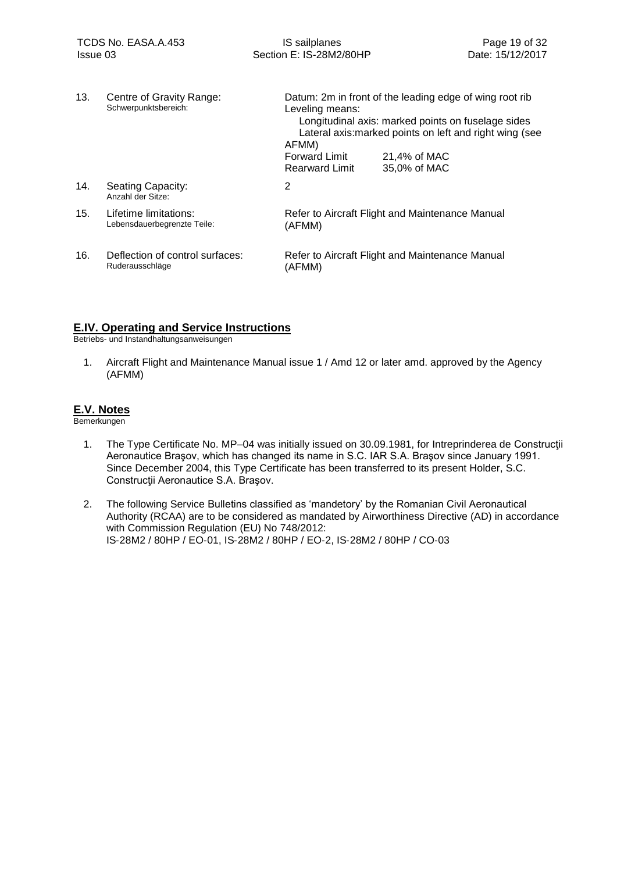| 13. | Centre of Gravity Range:<br>Schwerpunktsbereich:     | Datum: 2m in front of the leading edge of wing root rib<br>Leveling means:<br>Longitudinal axis: marked points on fuselage sides<br>Lateral axis: marked points on left and right wing (see<br>AFMM)<br><b>Forward Limit</b><br>21,4% of MAC<br>35,0% of MAC<br><b>Rearward Limit</b> |                                                 |
|-----|------------------------------------------------------|---------------------------------------------------------------------------------------------------------------------------------------------------------------------------------------------------------------------------------------------------------------------------------------|-------------------------------------------------|
| 14. | Seating Capacity:<br>Anzahl der Sitze:               | 2                                                                                                                                                                                                                                                                                     |                                                 |
| 15. | Lifetime limitations:<br>Lebensdauerbegrenzte Teile: | (AFMM)                                                                                                                                                                                                                                                                                | Refer to Aircraft Flight and Maintenance Manual |
| 16. | Deflection of control surfaces:<br>Ruderausschläge   | (AFMM)                                                                                                                                                                                                                                                                                | Refer to Aircraft Flight and Maintenance Manual |

### <span id="page-18-0"></span>**E.IV. Operating and Service Instructions**

Betriebs- und Instandhaltungsanweisungen

1. Aircraft Flight and Maintenance Manual issue 1 / Amd 12 or later amd. approved by the Agency (AFMM)

### <span id="page-18-1"></span>**E.V. Notes**

- 1. The Type Certificate No. MP–04 was initially issued on 30.09.1981, for Intreprinderea de Construcţii Aeronautice Braşov, which has changed its name in S.C. IAR S.A. Braşov since January 1991. Since December 2004, this Type Certificate has been transferred to its present Holder, S.C. Construcţii Aeronautice S.A. Braşov.
- 2. The following Service Bulletins classified as 'mandetory' by the Romanian Civil Aeronautical Authority (RCAA) are to be considered as mandated by Airworthiness Directive (AD) in accordance with Commission Regulation (EU) No 748/2012: IS‐28M2 / 80HP / EO‐01, IS‐28M2 / 80HP / EO‐2, IS‐28M2 / 80HP / CO‐03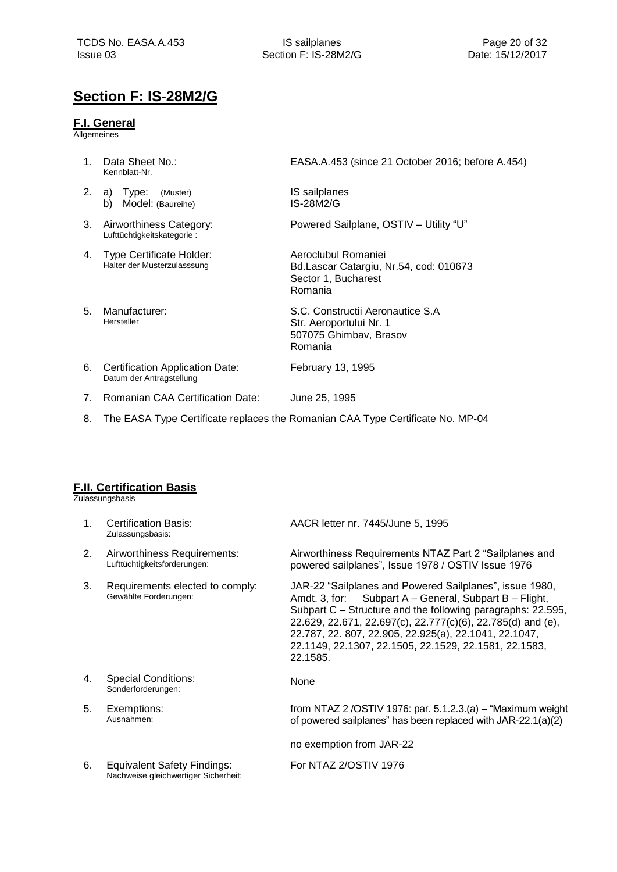### <span id="page-19-0"></span>**Section F: IS-28M2/G**

### <span id="page-19-1"></span>**F.I. General**

**Allgemeines** 

- 1. Data Sheet No.: Kennblatt-Nr.
- 2. a) Type: (Muster) b) Model: (Baureihe)
- 3. Airworthiness Category: Lufttüchtigkeitskategorie :
- 4. Type Certificate Holder: Halter der Musterzulasssung
- 5. Manufacturer: Hersteller

EASA.A.453 (since 21 October 2016; before A.454)

IS sailplanes IS-28M2/G

Powered Sailplane, OSTIV – Utility "U"

Aeroclubul Romaniei Bd.Lascar Catargiu, Nr.54, cod: 010673 Sector 1, Bucharest Romania

S.C. Constructii Aeronautice S.A Str. Aeroportului Nr. 1 507075 Ghimbav, Brasov Romania

6. Certification Application Date: Datum der Antragstellung

7. Romanian CAA Certification Date: June 25, 1995

February 13, 1995

8. The EASA Type Certificate replaces the Romanian CAA Type Certificate No. MP-04

### <span id="page-19-2"></span>**F.II. Certification Basis**

**Zulassungsbasis** 

| 1 <sub>1</sub> | <b>Certification Basis:</b><br>Zulassungsbasis:                     | AACR letter nr. 7445/June 5, 1995                                                                                                                                                                                                                                                                                                                                               |
|----------------|---------------------------------------------------------------------|---------------------------------------------------------------------------------------------------------------------------------------------------------------------------------------------------------------------------------------------------------------------------------------------------------------------------------------------------------------------------------|
| 2.             | Airworthiness Requirements:<br>Lufttüchtigkeitsforderungen:         | Airworthiness Requirements NTAZ Part 2 "Sailplanes and<br>powered sailplanes", Issue 1978 / OSTIV Issue 1976                                                                                                                                                                                                                                                                    |
| 3.             | Requirements elected to comply:<br>Gewählte Forderungen:            | JAR-22 "Sailplanes and Powered Sailplanes", issue 1980,<br>Subpart A - General, Subpart B - Flight,<br>Amdt. 3, for:<br>Subpart C – Structure and the following paragraphs: 22.595,<br>22.629, 22.671, 22.697(c), 22.777(c)(6), 22.785(d) and (e),<br>22.787, 22.807, 22.905, 22.925(a), 22.1041, 22.1047,<br>22.1149, 22.1307, 22.1505, 22.1529, 22.1581, 22.1583,<br>22.1585. |
| 4.             | Special Conditions:<br>Sonderforderungen:                           | None                                                                                                                                                                                                                                                                                                                                                                            |
| 5.             | Exemptions:<br>Ausnahmen:                                           | from NTAZ 2/OSTIV 1976: par. $5.1.2.3(a) -$ "Maximum weight<br>of powered sailplanes" has been replaced with JAR-22.1(a)(2)                                                                                                                                                                                                                                                     |
|                |                                                                     | no exemption from JAR-22                                                                                                                                                                                                                                                                                                                                                        |
| 6.             | Equivalent Safety Findings:<br>Nachweise gleichwertiger Sicherheit: | For NTAZ 2/OSTIV 1976                                                                                                                                                                                                                                                                                                                                                           |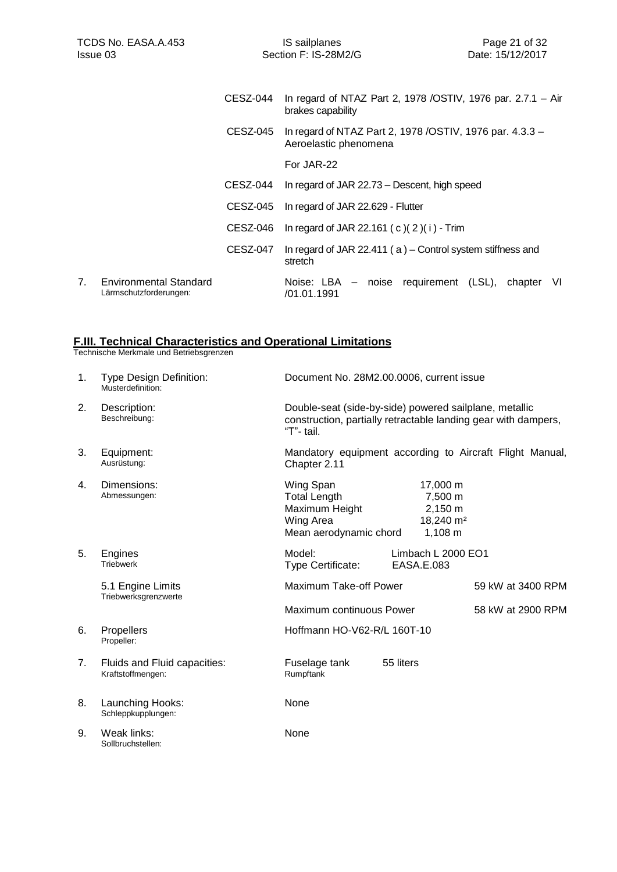|    |                                                         | CESZ-044 | In regard of NTAZ Part 2, 1978 / OSTIV, 1976 par. 2.7.1 - Air<br>brakes capability |
|----|---------------------------------------------------------|----------|------------------------------------------------------------------------------------|
|    |                                                         | CESZ-045 | In regard of NTAZ Part 2, 1978 / OSTIV, 1976 par. 4.3.3 -<br>Aeroelastic phenomena |
|    |                                                         |          | For JAR-22                                                                         |
|    |                                                         | CESZ-044 | In regard of JAR 22.73 – Descent, high speed                                       |
|    |                                                         | CESZ-045 | In regard of JAR 22.629 - Flutter                                                  |
|    |                                                         | CESZ-046 | In regard of JAR 22.161 (c)(2)(i) - Trim                                           |
|    |                                                         | CESZ-047 | In regard of JAR 22.411 ( $a$ ) – Control system stiffness and<br>stretch          |
| 7. | <b>Environmental Standard</b><br>Lärmschutzforderungen: |          | Noise: LBA – noise requirement (LSL),<br>chapter VI<br>/01.01.1991                 |

### <span id="page-20-0"></span>**F.III. Technical Characteristics and Operational Limitations**

| 1. | <b>Type Design Definition:</b><br>Musterdefinition: | Document No. 28M2.00.0006, current issue                                                                                               |                                                                    |  |  |
|----|-----------------------------------------------------|----------------------------------------------------------------------------------------------------------------------------------------|--------------------------------------------------------------------|--|--|
| 2. | Description:<br>Beschreibung:                       | Double-seat (side-by-side) powered sailplane, metallic<br>construction, partially retractable landing gear with dampers,<br>"T"- tail. |                                                                    |  |  |
| 3. | Equipment:<br>Ausrüstung:                           | Mandatory equipment according to Aircraft Flight Manual,<br>Chapter 2.11                                                               |                                                                    |  |  |
| 4. | Dimensions:<br>Abmessungen:                         | Wing Span<br><b>Total Length</b><br>Maximum Height<br>Wing Area<br>Mean aerodynamic chord                                              | 17,000 m<br>7,500 m<br>2,150 m<br>18,240 m <sup>2</sup><br>1,108 m |  |  |
| 5. | Engines<br><b>Triebwerk</b>                         | Model:<br>Type Certificate:<br>EASA.E.083                                                                                              | Limbach L 2000 EO1                                                 |  |  |
|    | 5.1 Engine Limits<br>Triebwerksgrenzwerte           | Maximum Take-off Power                                                                                                                 | 59 kW at 3400 RPM                                                  |  |  |
|    |                                                     | Maximum continuous Power                                                                                                               | 58 kW at 2900 RPM                                                  |  |  |
| 6. | Propellers<br>Propeller:                            | Hoffmann HO-V62-R/L 160T-10                                                                                                            |                                                                    |  |  |
| 7. | Fluids and Fluid capacities:<br>Kraftstoffmengen:   | Fuselage tank<br>55 liters<br>Rumpftank                                                                                                |                                                                    |  |  |
| 8. | Launching Hooks:<br>Schleppkupplungen:              | None                                                                                                                                   |                                                                    |  |  |
| 9. | Weak links:<br>Sollbruchstellen:                    | None                                                                                                                                   |                                                                    |  |  |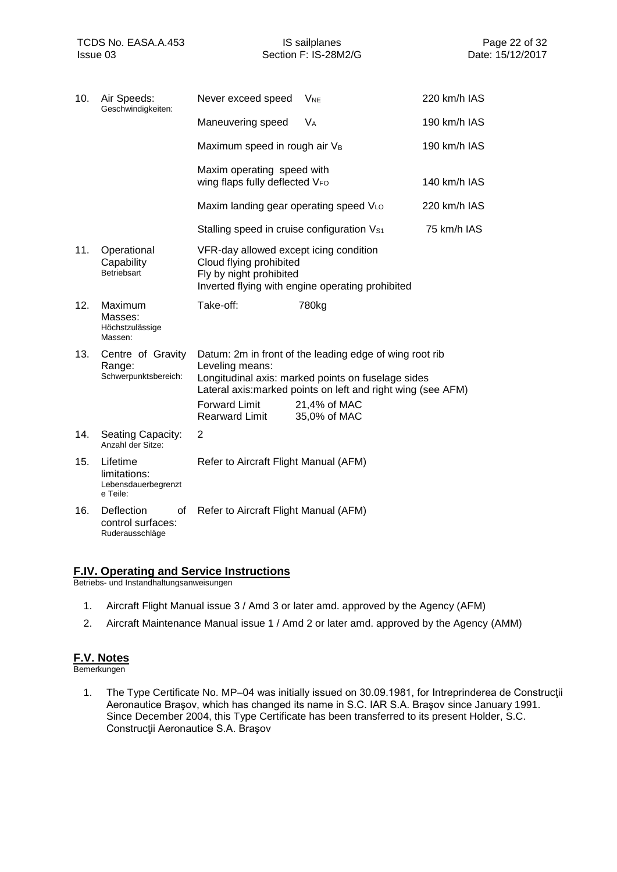| 10. | Air Speeds:<br>Geschwindigkeiten:                           | Never exceed speed                                                                           | <b>V<sub>NE</sub></b>                                                                                                                                                                                         | 220 km/h IAS |
|-----|-------------------------------------------------------------|----------------------------------------------------------------------------------------------|---------------------------------------------------------------------------------------------------------------------------------------------------------------------------------------------------------------|--------------|
|     |                                                             | Maneuvering speed                                                                            | V <sub>A</sub>                                                                                                                                                                                                | 190 km/h IAS |
|     |                                                             | Maximum speed in rough air V <sub>B</sub>                                                    |                                                                                                                                                                                                               | 190 km/h IAS |
|     |                                                             | Maxim operating speed with<br>wing flaps fully deflected VFO                                 |                                                                                                                                                                                                               | 140 km/h IAS |
|     |                                                             | Maxim landing gear operating speed VLo                                                       |                                                                                                                                                                                                               | 220 km/h IAS |
|     |                                                             | Stalling speed in cruise configuration V <sub>S1</sub>                                       |                                                                                                                                                                                                               | 75 km/h IAS  |
| 11. | Operational<br>Capability<br>Betriebsart                    | VFR-day allowed except icing condition<br>Cloud flying prohibited<br>Fly by night prohibited | Inverted flying with engine operating prohibited                                                                                                                                                              |              |
| 12. | Maximum<br>Masses:<br>Höchstzulässige<br>Massen:            | Take-off:                                                                                    | 780kg                                                                                                                                                                                                         |              |
| 13. | Centre of Gravity<br>Range:<br>Schwerpunktsbereich:         | Leveling means:<br><b>Forward Limit</b><br><b>Rearward Limit</b>                             | Datum: 2m in front of the leading edge of wing root rib<br>Longitudinal axis: marked points on fuselage sides<br>Lateral axis: marked points on left and right wing (see AFM)<br>21,4% of MAC<br>35,0% of MAC |              |
| 14. | Seating Capacity:<br>Anzahl der Sitze:                      | 2                                                                                            |                                                                                                                                                                                                               |              |
| 15. | Lifetime<br>limitations:<br>Lebensdauerbegrenzt<br>e Teile: | Refer to Aircraft Flight Manual (AFM)                                                        |                                                                                                                                                                                                               |              |
| 16. | Deflection<br>οf<br>control surfaces:<br>Ruderausschläge    | Refer to Aircraft Flight Manual (AFM)                                                        |                                                                                                                                                                                                               |              |

### <span id="page-21-0"></span>**F.IV. Operating and Service Instructions**

Betriebs- und Instandhaltungsanweisungen

- 1. Aircraft Flight Manual issue 3 / Amd 3 or later amd. approved by the Agency (AFM)
- 2. Aircraft Maintenance Manual issue 1 / Amd 2 or later amd. approved by the Agency (AMM)

### <span id="page-21-1"></span>**F.V. Notes**

Bemerkungen

1. The Type Certificate No. MP–04 was initially issued on 30.09.1981, for Intreprinderea de Construcţii Aeronautice Braşov, which has changed its name in S.C. IAR S.A. Braşov since January 1991. Since December 2004, this Type Certificate has been transferred to its present Holder, S.C. Construcţii Aeronautice S.A. Braşov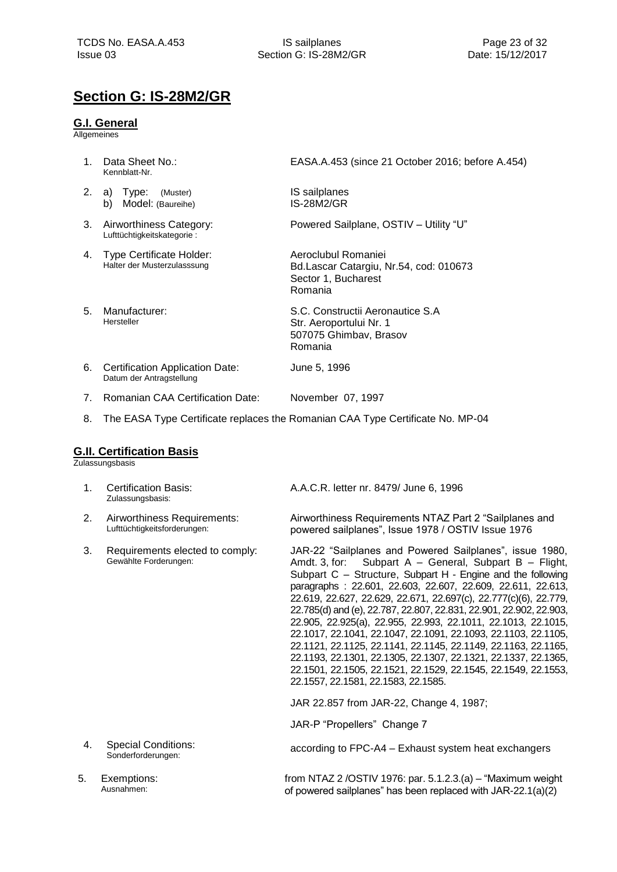### <span id="page-22-0"></span>**Section G: IS-28M2/GR**

### <span id="page-22-1"></span>**G.I. General**

**Allgemeines** 

1. Data Sheet No.: Kennblatt-Nr. EASA.A.453 (since 21 October 2016; before A.454) 2. a) Type: (Muster) b) Model: (Baureihe) IS sailplanes [IS-28M2/GR](#page-0-2) 3. Airworthiness Category: Lufttüchtigkeitskategorie : Powered Sailplane, OSTIV – Utility "U" 4. Type Certificate Holder: Halter der Musterzulasssung Aeroclubul Romaniei Bd.Lascar Catargiu, Nr.54, cod: 010673 Sector 1, Bucharest Romania 5. Manufacturer: Hersteller S.C. Constructii Aeronautice S.A Str. Aeroportului Nr. 1 507075 Ghimbav, Brasov Romania 6. Certification Application Date: Datum der Antragstellung June 5, 1996 7. Romanian CAA Certification Date: November 07, 1997 8. The EASA Type Certificate replaces the Romanian CAA Type Certificate No. MP-04

### <span id="page-22-2"></span>**G.II. Certification Basis**

Zulassungsbasis

| 1. | <b>Certification Basis:</b><br>Zulassungsbasis:             | A.A.C.R. letter nr. 8479/ June 6, 1996                                                                                                                                                                                                                                                                                                                                                                                                                                                                                                                                                                                                                                                                                                                                    |
|----|-------------------------------------------------------------|---------------------------------------------------------------------------------------------------------------------------------------------------------------------------------------------------------------------------------------------------------------------------------------------------------------------------------------------------------------------------------------------------------------------------------------------------------------------------------------------------------------------------------------------------------------------------------------------------------------------------------------------------------------------------------------------------------------------------------------------------------------------------|
| 2. | Airworthiness Requirements:<br>Lufttüchtigkeitsforderungen: | Airworthiness Requirements NTAZ Part 2 "Sailplanes and<br>powered sailplanes", Issue 1978 / OSTIV Issue 1976                                                                                                                                                                                                                                                                                                                                                                                                                                                                                                                                                                                                                                                              |
| 3. | Requirements elected to comply:<br>Gewählte Forderungen:    | JAR-22 "Sailplanes and Powered Sailplanes", issue 1980,<br>Amdt. 3, for: Subpart A - General, Subpart B - Flight,<br>Subpart C - Structure, Subpart H - Engine and the following<br>paragraphs: 22.601, 22.603, 22.607, 22.609, 22.611, 22.613,<br>22.619, 22.627, 22.629, 22.671, 22.697(c), 22.777(c)(6), 22.779,<br>22.785(d) and (e), 22.787, 22.807, 22.831, 22.901, 22.902, 22.903,<br>22.905, 22.925(a), 22.955, 22.993, 22.1011, 22.1013, 22.1015,<br>22.1017, 22.1041, 22.1047, 22.1091, 22.1093, 22.1103, 22.1105,<br>22.1121, 22.1125, 22.1141, 22.1145, 22.1149, 22.1163, 22.1165,<br>22.1193, 22.1301, 22.1305, 22.1307, 22.1321, 22.1337, 22.1365,<br>22.1501, 22.1505, 22.1521, 22.1529, 22.1545, 22.1549, 22.1553,<br>22.1557, 22.1581, 22.1583, 22.1585. |
|    |                                                             | JAR 22.857 from JAR-22, Change 4, 1987;                                                                                                                                                                                                                                                                                                                                                                                                                                                                                                                                                                                                                                                                                                                                   |
|    |                                                             | JAR-P "Propellers" Change 7                                                                                                                                                                                                                                                                                                                                                                                                                                                                                                                                                                                                                                                                                                                                               |
| 4. | <b>Special Conditions:</b><br>Sonderforderungen:            | according to FPC-A4 – Exhaust system heat exchangers                                                                                                                                                                                                                                                                                                                                                                                                                                                                                                                                                                                                                                                                                                                      |
| 5. | Exemptions:<br>Ausnahmen:                                   | from NTAZ 2/OSTIV 1976: par. $5.1.2.3(a) -$ "Maximum weight<br>of powered sailplanes" has been replaced with JAR-22.1(a)(2)                                                                                                                                                                                                                                                                                                                                                                                                                                                                                                                                                                                                                                               |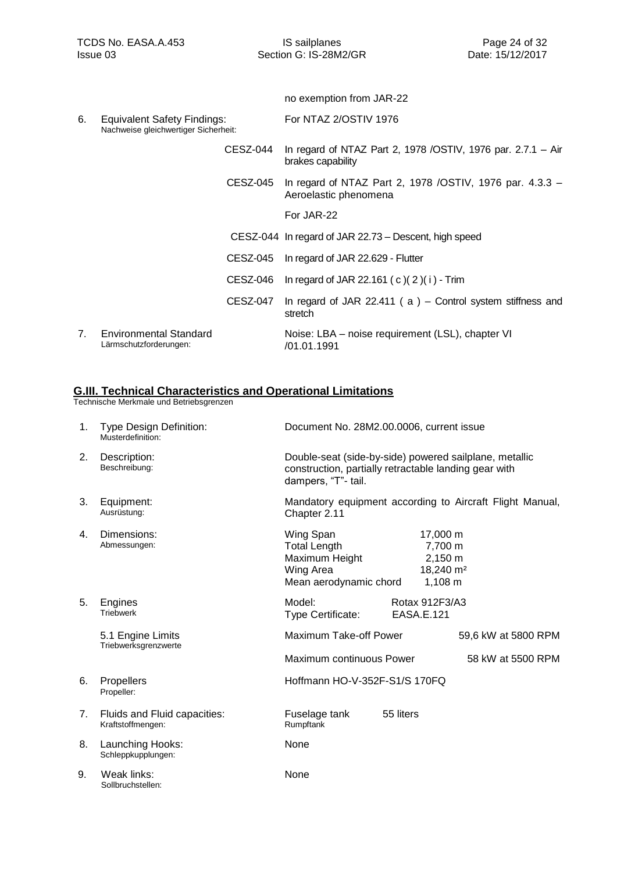|    |                                                                            |                 | no exemption from JAR-22                                                             |
|----|----------------------------------------------------------------------------|-----------------|--------------------------------------------------------------------------------------|
| 6. | <b>Equivalent Safety Findings:</b><br>Nachweise gleichwertiger Sicherheit: |                 | For NTAZ 2/OSTIV 1976                                                                |
|    |                                                                            | <b>CESZ-044</b> | In regard of NTAZ Part 2, 1978 / OSTIV, 1976 par. $2.7.1 - Air$<br>brakes capability |
|    |                                                                            | CESZ-045        | In regard of NTAZ Part 2, 1978 / OSTIV, 1976 par. 4.3.3 -<br>Aeroelastic phenomena   |
|    |                                                                            |                 | For JAR-22                                                                           |
|    |                                                                            |                 | CESZ-044 In regard of JAR 22.73 – Descent, high speed                                |
|    |                                                                            | CESZ-045        | In regard of JAR 22.629 - Flutter                                                    |
|    |                                                                            | CESZ-046        | In regard of JAR 22.161 (c)(2)(i) - Trim                                             |
|    |                                                                            | <b>CESZ-047</b> | In regard of JAR 22.411 ( $a$ ) – Control system stiffness and<br>stretch            |
| 7. | <b>Environmental Standard</b><br>Lärmschutzforderungen:                    |                 | Noise: LBA – noise requirement (LSL), chapter VI<br>/01.01.1991                      |
|    |                                                                            |                 |                                                                                      |

### <span id="page-23-0"></span>**G.III. Technical Characteristics and Operational Limitations**

| 1. | <b>Type Design Definition:</b><br>Musterdefinition: | Document No. 28M2.00.0006, current issue                                                                                               |                              |                                                                         |  |
|----|-----------------------------------------------------|----------------------------------------------------------------------------------------------------------------------------------------|------------------------------|-------------------------------------------------------------------------|--|
| 2. | Description:<br>Beschreibung:                       | Double-seat (side-by-side) powered sailplane, metallic<br>construction, partially retractable landing gear with<br>dampers, "T"- tail. |                              |                                                                         |  |
| 3. | Equipment:<br>Ausrüstung:                           | Mandatory equipment according to Aircraft Flight Manual,<br>Chapter 2.11                                                               |                              |                                                                         |  |
| 4. | Dimensions:<br>Abmessungen:                         | Wing Span<br><b>Total Length</b><br>Maximum Height<br>Wing Area<br>Mean aerodynamic chord                                              |                              | 17,000 m<br>7,700 m<br>2,150 m<br>18,240 m <sup>2</sup><br>$1,108 \; m$ |  |
| 5. | Engines<br><b>Triebwerk</b>                         | Model:<br>Type Certificate:                                                                                                            | Rotax 912F3/A3<br>EASA.E.121 |                                                                         |  |
|    | 5.1 Engine Limits<br>Triebwerksgrenzwerte           | Maximum Take-off Power                                                                                                                 |                              | 59,6 kW at 5800 RPM                                                     |  |
|    |                                                     | Maximum continuous Power                                                                                                               |                              | 58 kW at 5500 RPM                                                       |  |
| 6. | Propellers<br>Propeller:                            | Hoffmann HO-V-352F-S1/S 170FQ                                                                                                          |                              |                                                                         |  |
| 7. | Fluids and Fluid capacities:<br>Kraftstoffmengen:   | Fuselage tank<br>Rumpftank                                                                                                             | 55 liters                    |                                                                         |  |
| 8. | Launching Hooks:<br>Schleppkupplungen:              | None                                                                                                                                   |                              |                                                                         |  |
| 9. | Weak links:<br>Sollbruchstellen:                    | None                                                                                                                                   |                              |                                                                         |  |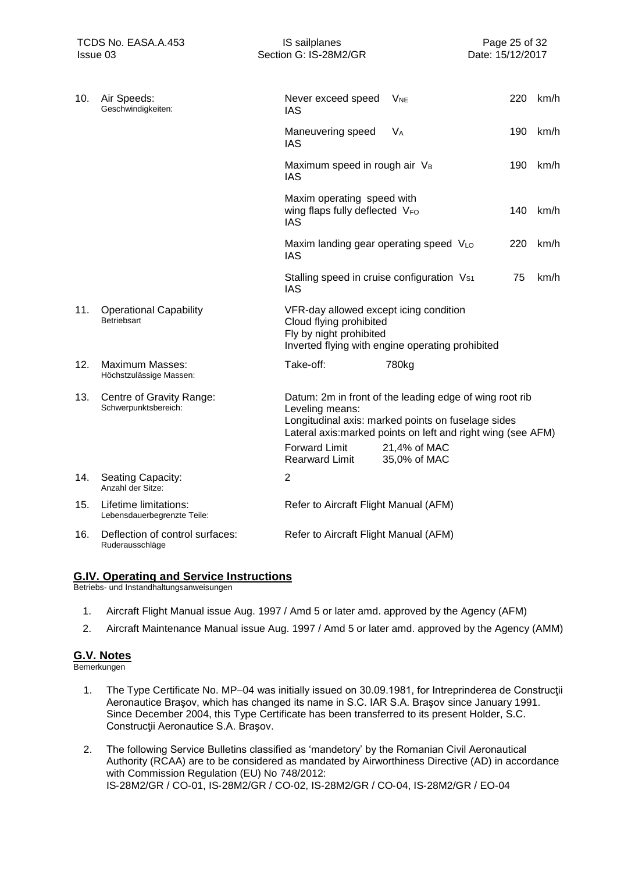Issue 03 **Section G: IS-28M2/GR** Date: 15/12/2017

| 10. | Air Speeds:<br>Geschwindigkeiten:                    | Never exceed speed<br>IAS                                                                    | <b>V<sub>NE</sub></b>                                                                                                                                                         | 220 | km/h |
|-----|------------------------------------------------------|----------------------------------------------------------------------------------------------|-------------------------------------------------------------------------------------------------------------------------------------------------------------------------------|-----|------|
|     |                                                      | Maneuvering speed<br><b>IAS</b>                                                              | <b>V<sub>A</sub></b>                                                                                                                                                          | 190 | km/h |
|     |                                                      | Maximum speed in rough air VB<br><b>IAS</b>                                                  |                                                                                                                                                                               | 190 | km/h |
|     |                                                      | Maxim operating speed with<br>wing flaps fully deflected VFO<br>IAS                          |                                                                                                                                                                               | 140 | km/h |
|     |                                                      | Maxim landing gear operating speed VLO<br>IAS                                                |                                                                                                                                                                               | 220 | km/h |
|     |                                                      | Stalling speed in cruise configuration V <sub>S1</sub><br><b>IAS</b>                         |                                                                                                                                                                               | 75  | km/h |
| 11. | <b>Operational Capability</b><br><b>Betriebsart</b>  | VFR-day allowed except icing condition<br>Cloud flying prohibited<br>Fly by night prohibited | Inverted flying with engine operating prohibited                                                                                                                              |     |      |
| 12. | <b>Maximum Masses:</b><br>Höchstzulässige Massen:    | Take-off:                                                                                    | 780kg                                                                                                                                                                         |     |      |
| 13. | Centre of Gravity Range:<br>Schwerpunktsbereich:     | Leveling means:                                                                              | Datum: 2m in front of the leading edge of wing root rib<br>Longitudinal axis: marked points on fuselage sides<br>Lateral axis: marked points on left and right wing (see AFM) |     |      |
|     |                                                      | <b>Forward Limit</b><br><b>Rearward Limit</b>                                                | 21,4% of MAC<br>35,0% of MAC                                                                                                                                                  |     |      |
| 14. | Seating Capacity:<br>Anzahl der Sitze:               | $\overline{2}$                                                                               |                                                                                                                                                                               |     |      |
| 15. | Lifetime limitations:<br>Lebensdauerbegrenzte Teile: | Refer to Aircraft Flight Manual (AFM)                                                        |                                                                                                                                                                               |     |      |
| 16. | Deflection of control surfaces:<br>Ruderausschläge   | Refer to Aircraft Flight Manual (AFM)                                                        |                                                                                                                                                                               |     |      |

### <span id="page-24-0"></span>**G.IV. Operating and Service Instructions**

Betriebs- und Instandhaltungsanweisungen

- 1. Aircraft Flight Manual issue Aug. 1997 / Amd 5 or later amd. approved by the Agency (AFM)
- 2. Aircraft Maintenance Manual issue Aug. 1997 / Amd 5 or later amd. approved by the Agency (AMM)

### <span id="page-24-1"></span>**G.V. Notes**

- 1. The Type Certificate No. MP–04 was initially issued on 30.09.1981, for Intreprinderea de Construcţii Aeronautice Braşov, which has changed its name in S.C. IAR S.A. Braşov since January 1991. Since December 2004, this Type Certificate has been transferred to its present Holder, S.C. Construcţii Aeronautice S.A. Braşov.
- 2. The following Service Bulletins classified as 'mandetory' by the Romanian Civil Aeronautical Authority (RCAA) are to be considered as mandated by Airworthiness Directive (AD) in accordance with Commission Regulation (EU) No 748/2012: IS‐28M2/GR / CO‐01, IS‐28M2/GR / CO‐02, IS‐28M2/GR / CO‐04, IS‐28M2/GR / EO‐04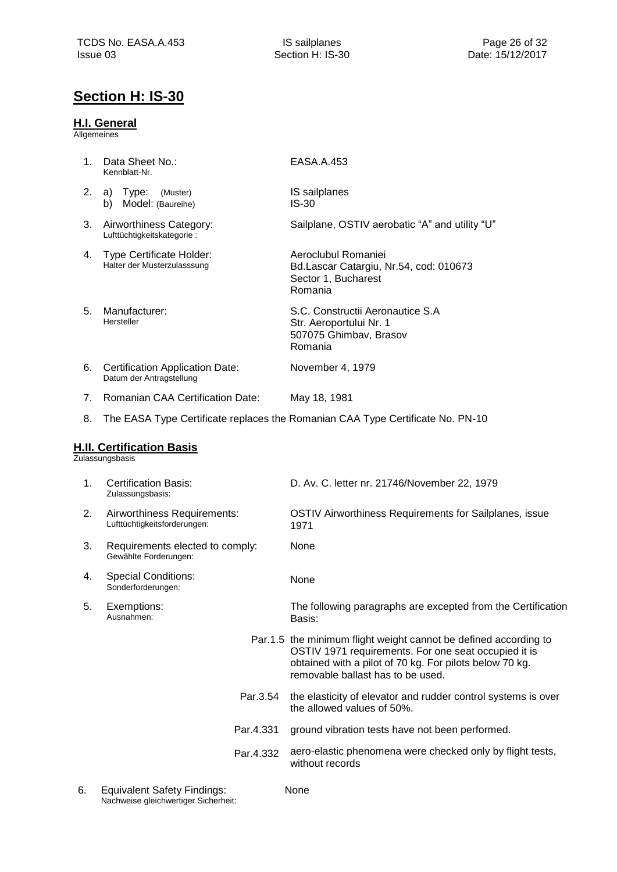### <span id="page-25-0"></span>**Section H: IS-30**

### <span id="page-25-1"></span>**H.I. General**

Allgemeines

<span id="page-25-2"></span>

| 1. | Data Sheet No.:<br>Kennblatt-Nr.                                   | EASA.A.453                                                                                                                                                                                                               |
|----|--------------------------------------------------------------------|--------------------------------------------------------------------------------------------------------------------------------------------------------------------------------------------------------------------------|
| 2. | a) Type:<br>(Muster)<br>Model: (Baureihe)<br>b)                    | IS sailplanes<br>$IS-30$                                                                                                                                                                                                 |
| 3. | Airworthiness Category:<br>Lufttüchtigkeitskategorie:              | Sailplane, OSTIV aerobatic "A" and utility "U"                                                                                                                                                                           |
| 4. | Type Certificate Holder:<br>Halter der Musterzulasssung            | Aeroclubul Romaniei<br>Bd.Lascar Catargiu, Nr.54, cod: 010673<br>Sector 1, Bucharest<br>Romania                                                                                                                          |
| 5. | Manufacturer:<br>Hersteller                                        | S.C. Constructii Aeronautice S.A<br>Str. Aeroportului Nr. 1<br>507075 Ghimbav, Brasov<br>Romania                                                                                                                         |
| 6. | <b>Certification Application Date:</b><br>Datum der Antragstellung | November 4, 1979                                                                                                                                                                                                         |
| 7. | <b>Romanian CAA Certification Date:</b>                            | May 18, 1981                                                                                                                                                                                                             |
| 8. |                                                                    | The EASA Type Certificate replaces the Romanian CAA Type Certificate No. PN-10                                                                                                                                           |
|    | <b>H.II. Certification Basis</b><br>Zulassungsbasis                |                                                                                                                                                                                                                          |
| 1. | <b>Certification Basis:</b><br>Zulassungsbasis:                    | D. Av. C. letter nr. 21746/November 22, 1979                                                                                                                                                                             |
| 2. | Airworthiness Requirements:<br>Lufttüchtigkeitsforderungen:        | OSTIV Airworthiness Requirements for Sailplanes, issue<br>1971                                                                                                                                                           |
| 3. | Requirements elected to comply:<br>Gewählte Forderungen:           | None                                                                                                                                                                                                                     |
| 4. | <b>Special Conditions:</b><br>Sonderforderungen:                   | None                                                                                                                                                                                                                     |
| 5. | Exemptions:<br>Ausnanmen:                                          | The following paragraphs are excepted from the Certification<br>Basis:                                                                                                                                                   |
|    |                                                                    | Par.1.5 the minimum flight weight cannot be defined according to<br>OSTIV 1971 requirements. For one seat occupied it is<br>obtained with a pilot of 70 kg. For pilots below 70 kg.<br>removable ballast has to be used. |
|    | Par.3.54                                                           | the elasticity of elevator and rudder control systems is over<br>the allowed values of 50%.                                                                                                                              |
|    | Par.4.331                                                          | ground vibration tests have not been performed.                                                                                                                                                                          |
|    | Par.4.332                                                          | aero-elastic phenomena were checked only by flight tests,<br>without records                                                                                                                                             |
|    |                                                                    |                                                                                                                                                                                                                          |

None

6. Equivalent Safety Findings: Nachweise gleichwertiger Sicherheit: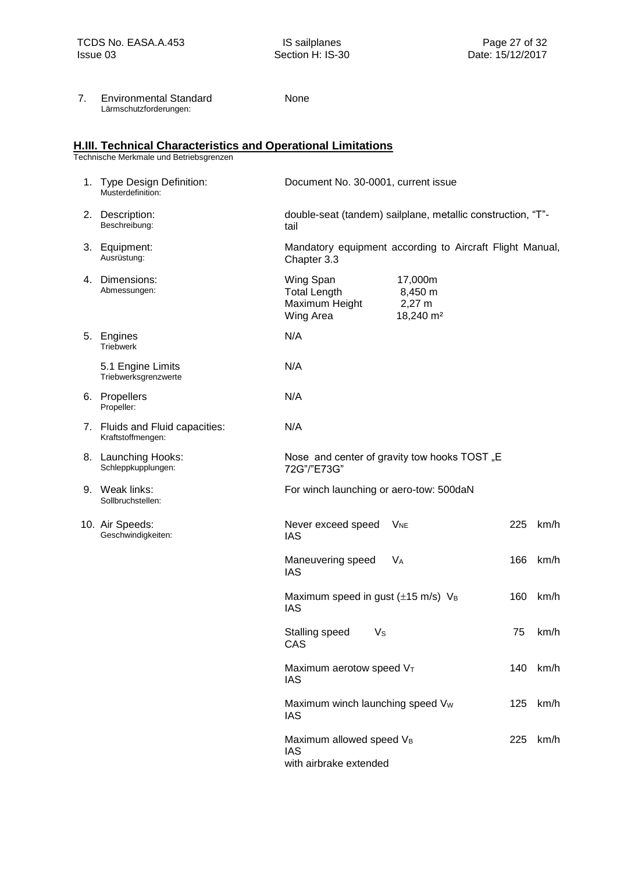Section H: IS-30

| 7. | <b>Environmental Standard</b> |
|----|-------------------------------|
|    | Lärmschutzforderungen:        |

None

### <span id="page-26-0"></span>**H.III. Technical Characteristics and Operational Limitations**

| 1. Type Design Definition:<br>Musterdefinition:      | Document No. 30-0001, current issue                                       |                                                                 |     |      |
|------------------------------------------------------|---------------------------------------------------------------------------|-----------------------------------------------------------------|-----|------|
| 2. Description:<br>Beschreibung:                     | double-seat (tandem) sailplane, metallic construction, "T"-<br>tail       |                                                                 |     |      |
| 3. Equipment:<br>Ausrüstung:                         | Chapter 3.3                                                               | Mandatory equipment according to Aircraft Flight Manual,        |     |      |
| 4. Dimensions:<br>Abmessungen:                       | Wing Span<br><b>Total Length</b><br>Maximum Height<br>Wing Area           | 17,000m<br>8,450 m<br>$2,27 \text{ m}$<br>18,240 m <sup>2</sup> |     |      |
| 5. Engines<br><b>Triebwerk</b>                       | N/A                                                                       |                                                                 |     |      |
| 5.1 Engine Limits<br>Triebwerksgrenzwerte            | N/A                                                                       |                                                                 |     |      |
| 6. Propellers<br>Propeller:                          | N/A                                                                       |                                                                 |     |      |
| 7. Fluids and Fluid capacities:<br>Kraftstoffmengen: | N/A                                                                       |                                                                 |     |      |
| 8. Launching Hooks:<br>Schleppkupplungen:            | 72G"/"E73G"                                                               | Nose and center of gravity tow hooks TOST "E                    |     |      |
| 9. Weak links:<br>Sollbruchstellen:                  | For winch launching or aero-tow: 500daN                                   |                                                                 |     |      |
| 10. Air Speeds:<br>Geschwindigkeiten:                | Never exceed speed<br><b>IAS</b>                                          | <b>V<sub>NE</sub></b>                                           | 225 | km/h |
|                                                      | Maneuvering speed<br><b>IAS</b>                                           | <b>V<sub>A</sub></b>                                            | 166 | km/h |
|                                                      | Maximum speed in gust $(\pm 15 \text{ m/s})$ V <sub>B</sub><br><b>IAS</b> |                                                                 | 160 | km/h |
|                                                      | Stalling speed<br>Vs<br>CAS                                               |                                                                 | 75  | km/h |
|                                                      | Maximum aerotow speed VT<br>IAS                                           |                                                                 | 140 | km/h |
|                                                      | Maximum winch launching speed Vw<br>IAS                                   |                                                                 | 125 | km/h |
|                                                      | Maximum allowed speed VB<br>IAS<br>with airbrake extended                 |                                                                 | 225 | km/h |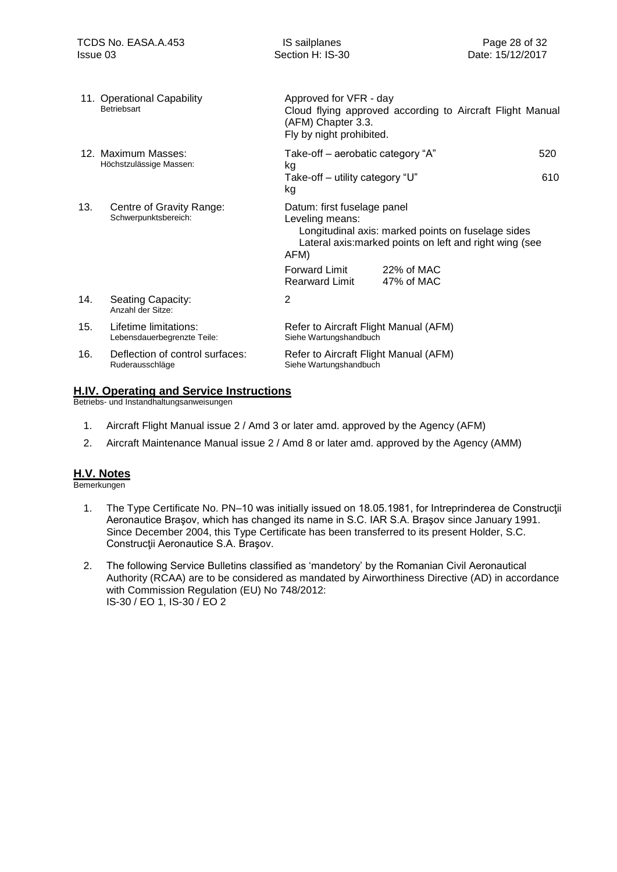|     | 11. Operational Capability<br>Betriebsart            | Approved for VFR - day<br>Cloud flying approved according to Aircraft Flight Manual<br>(AFM) Chapter 3.3.<br>Fly by night prohibited.                                   |
|-----|------------------------------------------------------|-------------------------------------------------------------------------------------------------------------------------------------------------------------------------|
|     | 12. Maximum Masses:<br>Höchstzulässige Massen:       | Take-off – aerobatic category "A"<br>520                                                                                                                                |
|     |                                                      | kg<br>610<br>Take-off – utility category "U"<br>kg                                                                                                                      |
| 13. | Centre of Gravity Range:<br>Schwerpunktsbereich:     | Datum: first fuselage panel<br>Leveling means:<br>Longitudinal axis: marked points on fuselage sides<br>Lateral axis: marked points on left and right wing (see<br>AFM) |
|     |                                                      | Forward Limit<br>22% of MAC<br><b>Rearward Limit</b><br>47% of MAC                                                                                                      |
| 14. | Seating Capacity:<br>Anzahl der Sitze:               | 2                                                                                                                                                                       |
| 15. | Lifetime limitations:<br>Lebensdauerbegrenzte Teile: | Refer to Aircraft Flight Manual (AFM)<br>Siehe Wartungshandbuch                                                                                                         |
| 16. | Deflection of control surfaces:<br>Ruderausschläge   | Refer to Aircraft Flight Manual (AFM)<br>Siehe Wartungshandbuch                                                                                                         |

### <span id="page-27-0"></span>**H.IV. Operating and Service Instructions**

Betriebs- und Instandhaltungsanweisungen

- 1. Aircraft Flight Manual issue 2 / Amd 3 or later amd. approved by the Agency (AFM)
- 2. Aircraft Maintenance Manual issue 2 / Amd 8 or later amd. approved by the Agency (AMM)

#### <span id="page-27-1"></span>**H.V. Notes**

- 1. The Type Certificate No. PN–10 was initially issued on 18.05.1981, for Intreprinderea de Constructii Aeronautice Braşov, which has changed its name in S.C. IAR S.A. Braşov since January 1991. Since December 2004, this Type Certificate has been transferred to its present Holder, S.C. Construcţii Aeronautice S.A. Braşov.
- 2. The following Service Bulletins classified as 'mandetory' by the Romanian Civil Aeronautical Authority (RCAA) are to be considered as mandated by Airworthiness Directive (AD) in accordance with Commission Regulation (EU) No 748/2012: IS-30 / EO 1, IS-30 / EO 2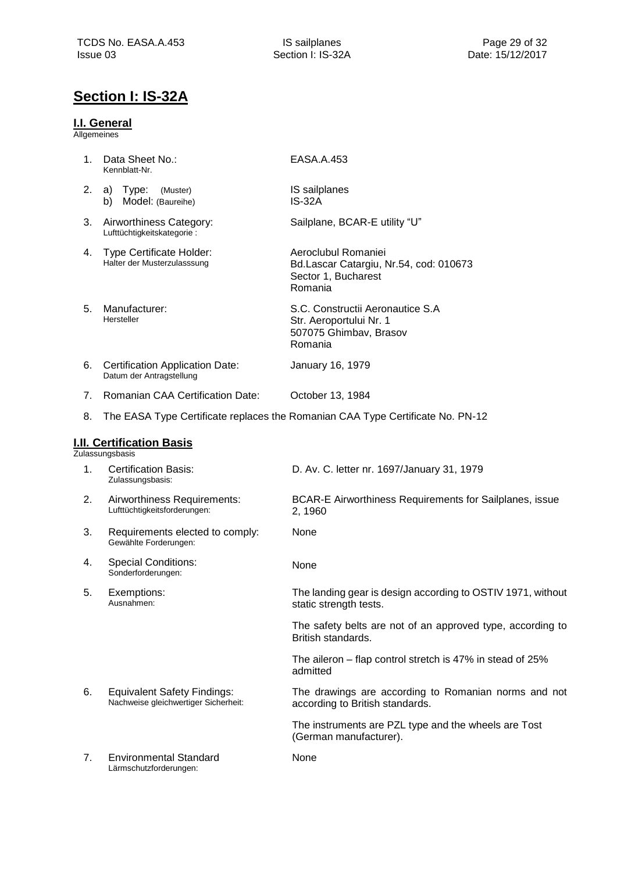## <span id="page-28-0"></span>**Section I: IS-32A**

### <span id="page-28-1"></span>**I.I. General**

Allgemeines

<span id="page-28-3"></span><span id="page-28-2"></span>

| 1. | Data Sheet No.:<br>Kennblatt-Nr.                                           | EASA.A.453                                                                                       |
|----|----------------------------------------------------------------------------|--------------------------------------------------------------------------------------------------|
| 2. | a) Type:<br>(Muster)<br>Model: (Baureihe)<br>b)                            | IS sailplanes<br><b>IS-32A</b>                                                                   |
| 3. | Airworthiness Category:<br>Lufttüchtigkeitskategorie:                      | Sailplane, BCAR-E utility "U"                                                                    |
| 4. | Type Certificate Holder:<br>Halter der Musterzulasssung                    | Aeroclubul Romaniei<br>Bd.Lascar Catargiu, Nr.54, cod: 010673<br>Sector 1, Bucharest<br>Romania  |
| 5. | Manufacturer:<br>Hersteller                                                | S.C. Constructii Aeronautice S.A<br>Str. Aeroportului Nr. 1<br>507075 Ghimbav, Brasov<br>Romania |
| 6. | <b>Certification Application Date:</b><br>Datum der Antragstellung         | January 16, 1979                                                                                 |
| 7. | <b>Romanian CAA Certification Date:</b>                                    | October 13, 1984                                                                                 |
| 8. |                                                                            | The EASA Type Certificate replaces the Romanian CAA Type Certificate No. PN-12                   |
|    | <b>I.II. Certification Basis</b><br>Zulassungsbasis                        |                                                                                                  |
| 1. | <b>Certification Basis:</b><br>Zulassungsbasis:                            | D. Av. C. letter nr. 1697/January 31, 1979                                                       |
| 2. | Airworthiness Requirements:<br>Lufttüchtigkeitsforderungen:                | BCAR-E Airworthiness Requirements for Sailplanes, issue<br>2, 1960                               |
| 3. | Requirements elected to comply:<br>Gewählte Forderungen:                   | None                                                                                             |
| 4. | <b>Special Conditions:</b><br>Sonderforderungen:                           | None                                                                                             |
| 5. | Exemptions:<br>Ausnahmen:                                                  | The landing gear is design according to OSTIV 1971, without<br>static strength tests.            |
|    |                                                                            | The safety belts are not of an approved type, according to<br>British standards.                 |
|    |                                                                            | The aileron – flap control stretch is 47% in stead of 25%<br>admitted                            |
| 6. | <b>Equivalent Safety Findings:</b><br>Nachweise gleichwertiger Sicherheit: | The drawings are according to Romanian norms and not<br>according to British standards.          |
|    |                                                                            | The instruments are PZL type and the wheels are Tost<br>(German manufacturer).                   |
| 7. | <b>Environmental Standard</b><br>Lärmschutzforderungen:                    | None                                                                                             |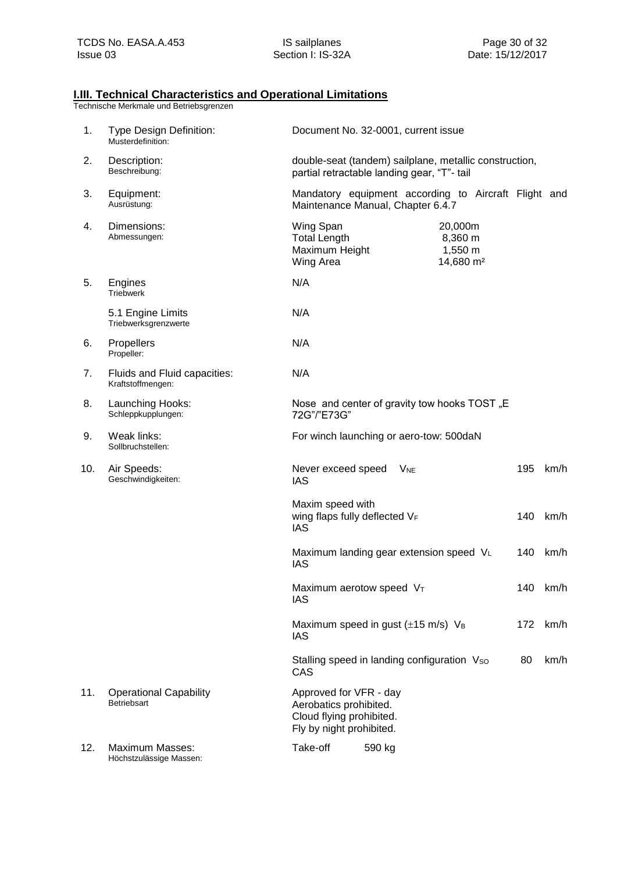### **I.III. Technical Characteristics and Operational Limitations**

| 1.  | Type Design Definition:<br>Musterdefinition:      | Document No. 32-0001, current issue                                                                                       |
|-----|---------------------------------------------------|---------------------------------------------------------------------------------------------------------------------------|
| 2.  | Description:<br>Beschreibung:                     | double-seat (tandem) sailplane, metallic construction,<br>partial retractable landing gear, "T"- tail                     |
| 3.  | Equipment:<br>Ausrüstung:                         | Mandatory equipment according to Aircraft Flight and<br>Maintenance Manual, Chapter 6.4.7                                 |
| 4.  | Dimensions:<br>Abmessungen:                       | Wing Span<br>20,000m<br><b>Total Length</b><br>8,360 m<br>1,550 m<br>Maximum Height<br>Wing Area<br>14,680 m <sup>2</sup> |
| 5.  | Engines<br><b>Triebwerk</b>                       | N/A                                                                                                                       |
|     | 5.1 Engine Limits<br>Triebwerksgrenzwerte         | N/A                                                                                                                       |
| 6.  | Propellers<br>Propeller:                          | N/A                                                                                                                       |
| 7.  | Fluids and Fluid capacities:<br>Kraftstoffmengen: | N/A                                                                                                                       |
| 8.  | Launching Hooks:<br>Schleppkupplungen:            | Nose and center of gravity tow hooks TOST "E<br>72G"/"E73G"                                                               |
| 9.  | Weak links:<br>Sollbruchstellen:                  | For winch launching or aero-tow: 500daN                                                                                   |
| 10. | Air Speeds:<br>Geschwindigkeiten:                 | 195<br>km/h<br>Never exceed speed<br><b>V<sub>NE</sub></b><br><b>IAS</b>                                                  |
|     |                                                   | Maxim speed with<br>wing flaps fully deflected VF<br>140<br>km/h<br><b>IAS</b>                                            |
|     |                                                   | Maximum landing gear extension speed VL<br>140<br>km/h<br><b>IAS</b>                                                      |
|     |                                                   | Maximum aerotow speed VT<br>140<br>km/h<br>IAS                                                                            |
|     |                                                   | Maximum speed in gust $(\pm 15 \text{ m/s})$ V <sub>B</sub><br>172<br>km/h<br><b>IAS</b>                                  |
|     |                                                   | Stalling speed in landing configuration Vso<br>80<br>km/h<br>CAS                                                          |
| 11. | <b>Operational Capability</b><br>Betriebsart      | Approved for VFR - day<br>Aerobatics prohibited.<br>Cloud flying prohibited.<br>Fly by night prohibited.                  |
| 12. | <b>Maximum Masses:</b><br>Höchstzulässige Massen: | Take-off<br>590 kg                                                                                                        |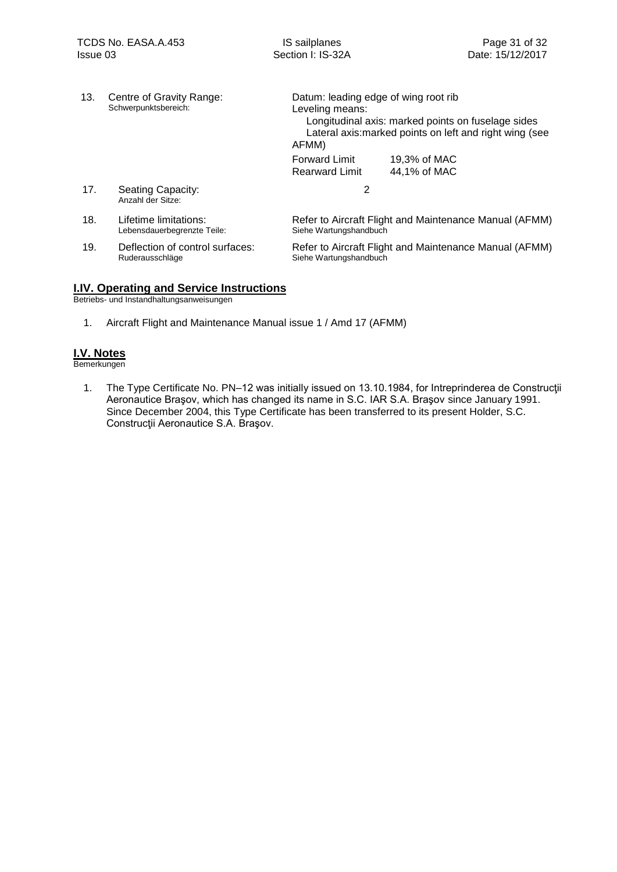| 13. | Centre of Gravity Range:<br>Schwerpunktsbereich:     | Datum: leading edge of wing root rib<br>Leveling means:<br>Longitudinal axis: marked points on fuselage sides<br>Lateral axis: marked points on left and right wing (see<br>AFMM) |
|-----|------------------------------------------------------|-----------------------------------------------------------------------------------------------------------------------------------------------------------------------------------|
|     |                                                      | <b>Forward Limit</b><br>19.3% of MAC<br>44,1% of MAC<br><b>Rearward Limit</b>                                                                                                     |
| 17. | Seating Capacity:<br>Anzahl der Sitze:               | 2                                                                                                                                                                                 |
| 18. | Lifetime limitations:<br>Lebensdauerbegrenzte Teile: | Refer to Aircraft Flight and Maintenance Manual (AFMM)<br>Siehe Wartungshandbuch                                                                                                  |
| 19. | Deflection of control surfaces:<br>Ruderausschläge   | Refer to Aircraft Flight and Maintenance Manual (AFMM)<br>Siehe Wartungshandbuch                                                                                                  |

### <span id="page-30-0"></span>**I.IV. Operating and Service Instructions**

Betriebs- und Instandhaltungsanweisungen

1. Aircraft Flight and Maintenance Manual issue 1 / Amd 17 (AFMM)

### <span id="page-30-1"></span>**I.V. Notes**

Bemerkungen

1. The Type Certificate No. PN–12 was initially issued on 13.10.1984, for Intreprinderea de Construcţii Aeronautice Braşov, which has changed its name in S.C. IAR S.A. Braşov since January 1991. Since December 2004, this Type Certificate has been transferred to its present Holder, S.C. Construcţii Aeronautice S.A. Braşov.